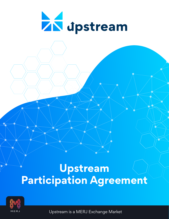

# **Upstream Participation Agreement**



Upstream is a MERJ Exchange Market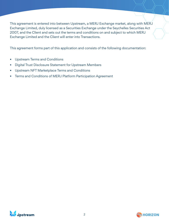This agreement is entered into between Upstream, a MERJ Exchange market, along with MERJ Exchange Limited, duly licensed as a Securities Exchange under the Seychelles Securities Act 2007, and the Client and sets out the terms and conditions on and subject to which MERJ Exchange Limited and the Client will enter into Transactions.

This agreement forms part of this application and consists of the following documentation:

- Upstream Terms and Conditions
- Digital Trust Disclosure Statement for Upstream Members
- Upstream NFT Marketplace Terms and Conditions
- Terms and Conditions of MERJ Platform Participation Agreement



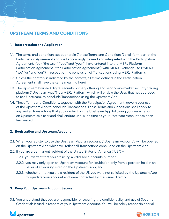# **UPSTREAM TERMS AND CONDITIONS**

# **1. Interpretation and Application**

- 1.1. The terms and conditions set out herein ("these Terms and Conditions") shall form part of the Participation Agreement and shall accordingly be read and interpreted with the Participation Agreement. You ("the User", "you" and "your") have entered into the MERJ Platform Participation Agreement ("the Participation Agreement") with MERJ Exchange Ltd ("MERJ", "we" "us" and "our") in respect of the conclusion of Transactions using MERJ Platforms.
- 1.2. Unless the contrary is indicated by the context, all terms defined in the Participation Agreement shall have the same meaning herein.
- 1.3. The Upstream branded digital security primary offering and secondary-market security trading platform ("Upstream App") is a MERJ Platform which will enable the User, that has approved to use Upstream, to conclude Transactions using the Upstream App.
- 1.4. These Terms and Conditions, together with the Participation Agreement, govern your use of the Upstream App to conclude Transactions. These Terms and Conditions shall apply to any and all transactions that you conduct on the Upstream App following your registration on Upstream as a user and shall endure until such time as your Upstream Account has been terminated.

# **2. Registration and Upstream Account**

- 2.1. When you register to use the Upstream App, an account ("Upstream Account") will be opened on the Upstream App which will reflect all Transactions concluded on the Upstream App.
- 2.2. If you are a permanent resident of the United States of America ("US")
	- 2.2.1. you warrant that you are using a valid social security number;
	- 2.2.2. you may only open an Upstream Account for liquidation only from a position held in an issuer of a Security listed on the Upstream App; and
	- 2.2.3. whether or not you are a resident of the US you were not solicited by the Upstream App to liquidate your account and were contacted by the issuer directly.

# **3. Keep Your Upstream Account Secure**

3.1. You understand that you are responsible for securing the confidentiality and use of Security Credentials issued in respect of your Upstream Account. You will be solely responsible for all



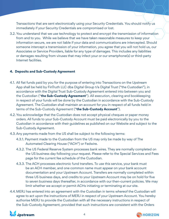Transactions that are sent electronically using your Security Credentials. You should notify us immediately if your Security Credentials are compromised or lost.

3.2. You understand that we use technology to protect and encrypt the transmission of information from and to you. While we believe that we have taken reasonable measures to keep your information secure, we are not liable if your data and communications are intercepted. Should someone intercept a transmission of your information, you agree that you will not hold us, our Associates or Service Providers, liable for any type of damages. This includes any liabilities or damages resulting from viruses that may infect your or our smartphone(s) or third-party Internet facilities.

#### **4. Deposits and Sub-Custody Agreement**

- 4.1. All fiat funds paid by you for the purpose of entering into Transactions on the Upstream App shall be held by FinTruth LLC dba Digital Group t/a Digital Trust ("the Custodian"), in accordance with the Digital Trust Sub-Custody Agreement entered into between you and the Custodian ("**the Sub-Custody Agreement**"). All execution, clearing and bookkeeping in respect of your funds will be done by the Custodian in accordance with the Sub-Custody Agreement. The Custodian shall maintain an account for you in respect of all funds held in terms of the Sub-Custody Agreement ("**the Sub-Custody Account**").
- 4.2. You acknowledge that the Custodian does not accept physical cheques or paper money orders. All funds to your Sub-Custody Account must be paid electronically by you to the Custodian in accordance with their guidelines as published on our Website and subject to the Sub-Custody Agreement.
- 4.3. Any payments made from the US shall be subject to the following terms:
	- 4.3.1. Payment made to the Custodian from the US may only be made by way of The Automated Clearing House ("ACH") or Fedwire.
	- 4.3.2. The US Federal Reserve System processes bank wires. They are normally completed on the US business day following your request. Please refer to the Special Services and Fees page for the current fee schedule of the Custodian.
	- 4.3.3. The ACH processes electronic fund transfers. To use this service, your bank must be an ACH member, and one common name must appear on your bank account documentation and your Upstream Account. Transfers are normally completed within three US business days, and credits to your Upstream Account may be on hold for five to seven business days thereafter, in accordance with our then-current policies. We may limit whether we accept or permit ACHs initiating or terminating at our site.
- 4.4.MERJ has entered into an agreement with the Custodian in terms whereof the Custodian will agree to act upon the instructions of MERJ in respect of your Upstream Account. You hereby authorise MERJ to provide the Custodian with all the necessary instructions in respect of the Sub-Custody Agreement, provided that such instructions are consistent with the Orders



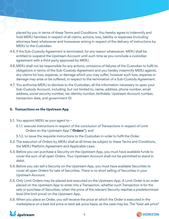placed by you in terms of these Terms and Conditions. You hereby agree to indemnify and hold MERJ harmless in respect of all claims, actions, loss, liability or expenses (including attorneys fees) whatsoever and howsoever arising in respect of the delivery of instructions by MERJ to the Custodian.

- 4.5. If the Sub-Custody Agreement is terminated, for any reason whatsoever, MERJ shall be entitled to suspend the Upstream Account until such time as you conclude a custodian agreement with a third party approved by MERJ.
- 4.6.MERJ shall not be responsible for any actions, omissions of failures of the Custodian to fulfil its obligations in terms of the Sub-Custody Agreement and you hereby indemnify MERJ against, any claims for loss, expense, or damage which you may suffer, however such loss, expense or damage may arise or be suffered, in respect to the termination of a Sub-Custody Agreement.
- 4.7. You authorize MERJ to disclose to the Custodian, all the information necessary to open your Sub-Custody Account, including, but not limited to, name, address, phone number, email address, social security number, tax identity number, birthdate, Upstream Account number, transaction data, and government ID.

# **5. Transactions on the Upstream App**

- 5.1. You appoint MERJ as your agent to
	- 5.1.1. execute instructions in respect of the conclusion of Transactions in respect of Limit Orders on the Upstream App ("**Orders**"); and
	- 5.1.2. to issue the requisite instructions to the Custodian in order to fulfil the Order.
- 5.2. The execution of Orders by MERJ shall at all times be subject to these Terms and Conditions, the MERJ Platform Agreement and Applicable Laws.
- 5.3. Before you can purchase a Security on the Upstream App, you must have available funds to cover the sum of all open Orders. Your Upstream Account shall not be permitted to stand in debit.
- 5.4. Before you can sell a Security on the Upstream App, you must have available Securities to cover all open Orders for sale of Securities. There is no short selling of Securities in your Upstream Account.
- 5.5. Only Limit Orders may be placed and executed on the Upstream App. A Limit Order is an order placed on the Upstream App to enter into a Transaction, whether such Transaction is for the sale or purchase of Securities, when the price of the relevant Security reaches a predetermined level (the limit price) on the Upstream App.
- 5.6. When you place an Order, you will receive the price at which the Order is executed in the marketplace on a best bid price or best ask price basis, as the case may be. The "best ask price"



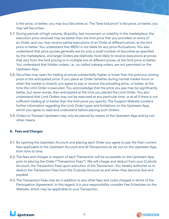is the price, or better, you may buy Securities at. The "best bid price" is the price, or better, you may sell Securities.

- 5.7. During periods of high volume, illiquidity, fast movement or volatility in the marketplace, the execution price received may be better than the limit price that you provided on entry of an Order, and you may receive partial executions of an Order at different prices, at the limit price or better. You understand that MERJ is not liable for any price fluctuations. You also understand that price quotes generally are for only a small number of Securities as specified by the marketplace, and larger Orders are relatively more likely to receive executions at prices that vary from the limit pricing or in multiple lots at different prices, at the limit price or better. You understand that hidden orders, i.e., so-called iceberg orders, are not permitted on the Upstream App.
- 5.8. Securities may open for trading at prices substantially higher or lower than the previous closing price or the anticipated price. If you place an Order (whether during normal market hours or when the market is closed), you agree to pay or receive the prevailing price, or better, at the time the Limit Order is executed. You acknowledge that the price you pay may be significantly better, but never worse, than anticipated at the time you placed the Limit Order. You also understand that Limit Orders may not be executed at any particular time, or at all if there is not sufficient trading at or better than the limit price you specify. The Support Website contains further information regarding the Limit Order types and limitations on the Upstream App, which you agree to read and understand before placing such Orders.
- 5.9. Orders to Transact Upstream may only be placed by means of the Upstream App and by not other means.

### **6. Fees and Charges**

- 6.1. By opening the Upstream Account and placing each Order you agree to pay the then-current fees applicable to the Upstream Account and all Transactions as set out on the Upstream App, from time to time.
- 6.2. The fees and charges in respect of each Transaction will be accessible on the Upstream App prior to placing the Order ("Transaction Fees"). We will charge and deduct from your Custody Account, the Transaction Fees upon execution of the Transaction. You hereby authorise us to deduct the Transaction Fees from the Custody Account as and when they become due and payable.
- 6.3. The Transaction Fees may be in addition to any other fees and costs charged in terms of the Participation Agreement. In this regard, it is your responsibility consider Fee Schedules on the Website, which may be applicable to your Transaction.



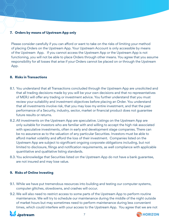# **7. Orders by means of Upstream App only**

Please consider carefully if you can afford or want to take on the risks of limiting your method of placing Orders on the Upstream App. Your Upstream Account is only accessible by means of the Upstream App. If you cannot access the Upstream App or the Upstream App is not functioning, you will not be able to place Orders through other means. You agree that you assume responsibility for all losses that arise if your Orders cannot be placed on or through the Upstream App.

### **8. Risks in Transactions**

- 8.1. You understand that all Transactions concluded through the Upstream App are unsolicited and that all trading decisions made by you will be your own decisions and that no representatives of MERJ will offer any trading or investment advice. You further understand that you must review your suitability and investment objectives before placing an Order. You understand that all investments involve risk, that you may lose my entire investment, and that the past performance of a Security, industry, sector, market or financial product does not guarantee future results or returns.
- 8.2. All investments on the Upstream App are speculative. Listings on the Upstream App are only suitable for investors who are familiar with and willing to accept the high risk associated with speculative investments, often in early and development stage companies. There can be no assurance as to the valuation of any particular Securities. Investors must be able to afford market volatility and afford the loss of their investment. Companies listed on the Upstream App are subject to significant ongoing corporate obligations including, but not limited to disclosure, filings and notification requirements, as well compliance with applicable quantitative and qualitative listing standards.
- 8.3. You acknowledge that Securities listed on the Upstream App do not have a bank guarantee, are not insured and may lose value.

### **9. Risks of Online Investing**

- 9.1. While we have put tremendous resources into building and testing our computer systems, computer glitches, slowdowns, and crashes will occur.
- 9.2. We will also need to restrict access to some parts of the Upstream App to perform routine maintenance. We will try to schedule our maintenance during the middle of the night outside of market hours but may sometimes need to perform maintenance during less convenient times, which could interfere with your access to the Upstream App. You agree that we are not



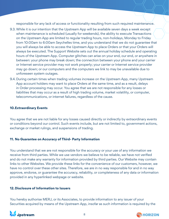responsible for any lack of access or functionality resulting from such required maintenance.

- 9.3. While it is our intention that the Upstream App will be available seven days a week except when maintenance is scheduled (usually for weekends), the ability to execute Transactions on the Upstream App are limited to regular trading hours, non-holidays, Monday to Friday from 10:00am to 6:00am Seychelles time, and you understand that we do not guarantee that you will always be able to access the Upstream App to place Orders or that your Orders will always be executed. The Support Website sets out the annual holiday schedule and operating hours of the Upstream App. Computer glitches can arise on your end, our end, or anywhere in between: your phone may break down; the connection between your phone and your carrier or Internet service provider may not work properly; your carrier or Internet service provider may go down; or our computers and the computers we link to may be unavailable due to unforeseen system outages.
- 9.4. During certain times when trading volumes increase on the Upstream App, many Upstream App account holders may want to place Orders at the same time, and as a result, delays in Order processing may occur. You agree that we are not responsible for any losses or liabilities that may occur as a result of high trading volume, market volatility, or computer, telecommunications, or internet failures, regardless of the cause.

#### **10.Extraordinary Events**

You agree that we are not liable for any losses caused directly or indirectly by extraordinary events or conditions beyond our control. Such events include, but are not limited to, government actions, exchange or market rulings, and suspensions of trading.

### **11. No Guarantee on Accuracy of Third- Party Information**

You understand that we are not responsible for the accuracy or your use of any information we receive from third parties. While we use vendors we believe to be reliable, we have not verified and do not make any warranty for information provided by third parties. Our Website may contain links to other Websites. We provide these links for the convenience of our customers, however, we have no control over these other sites. Therefore, we are in no way responsible for and in no way approve, endorse, or guarantee the accuracy, reliability, or completeness of any data or information provided in any hyperlinked webpage or website.

#### **12. Disclosure of Information to Issuers**

You hereby authorise MERJ, or its Associates, to provide information to any issuer of your Securities acquired by means of the Upstream App, insofar as such information is required by the



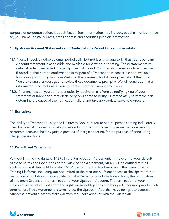purpose of corporate actions by such issuer. Such information may include, but shall not be limited to, your name, postal address, email address and securities position information.

#### **13. Upstream Account Statements and Confirmations Report Errors Immediately**

- 13.1. You will receive notice by email periodically, but not less than quarterly, that your Upstream Account statement is accessible and available for viewing or printing. These statements will detail all activity recorded in your Upstream Account. You may also receive notice by e-mail if opted in, that a trade confirmation in respect of a Transaction is accessible and available for viewing or printing from our Website, the business day following the date of the Order. You are strongly encouraged to review these documents promptly. We will conclude that all information is correct unless you contact us promptly about any errors.
- 13.2. If, for any reason, you do not periodically receive emails from us notifying you of your statement or trade confirmation delivery, you agree to notify us immediately so that we can determine the cause of the notification failure and take appropriate steps to correct it.

#### **14.Exclusions**

The ability to Transaction using the Upstream App is limited to natural persons acting individually. The Upstream App does not make provision for joint accounts held by more than one person, corporate accounts held by juristic persons of margin accounts for the purpose of concluding Margin Transactions.

#### **15. Default and Termination**

Without limiting the rights of MERJ in the Participation Agreement, in the event of your default of these Terms and Conditions or the Participation Agreement, MERJ will be entitled take all such action as it deems fit to protect MERJ, MERJ Trading Platforms and other users of MERJ Trading Platforms, including but not limited to the restriction of your access to the Upstream App, restriction or limitation on your ability to make Orders or conclude Transactions, the termination of any open Orders, or the termination of your Upstream Account. The termination of your Upstream Account will not affect the rights and/or obligations of either party incurred prior to such termination. If this Agreement is terminated, the Upstream App shall have no right to access or otherwise prevent a cash withdrawal from the User's account with the Custodian.



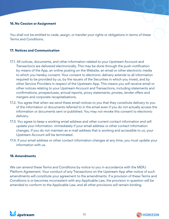#### **16.No Cession or Assignment**

You shall not be entitled to cede, assign, or transfer your rights or obligations in terms of these Terms and Conditions.

#### **17. Notices and Communication**

- 17.1. All notices, documents, and other information related to your Upstream Account and Transactions are delivered electronically. This may be done through the push-notification by means of the App, an online posting on the Website, an email or other electronic media to which you hereby consent. Your consent to electronic delivery extends to all information required to be provided by us, by the issuers of the Securities in which you invest, and by other Service Providers in respect of the Upstream App. This means you will receive email or other notices relating to your Upstream Account and Transactions, including statements and confirmations, prospectuses, annual reports, proxy statements, proxies, tender offers and mergers and corporate recapitalisations.
- 17.2. You agree that when we send these email notices to you that they constitute delivery to you of the information or documents referred to in the email even if you do not actually access the information or documents sent or published. You may not revoke this consent to electronic delivery.
- 17.3. You agree to keep a working email address and other current contact information and will update your information immediately if your email address or other contact information changes. If you do not maintain an e-mail address that is working and accessible to us, your Upstream Account will be terminated.
- 17.4. If your email address or other contact information changes at any time, you must update your information with us.

#### **18.Amendments**

We can amend these Terms and Conditions by notice to you in accordance with the MERJ Platform Agreement. Your conduct of any Transactions on the Upstream App after notice of such amendments will constitute your agreement to the amendments. If a provision of these Terms and Conditions is or becomes inconsistent with any Applicable Law, the provision in question will be amended to conform to the Applicable Law, and all other provisions will remain binding.



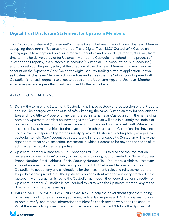# **Digital Trust Disclosure Statement for Upstream Members**

This Disclosure Statement ("Statement") is made by and between the individual Upstream Member accepting these terms ("Upstream Member") and Digital Trust, LLC("Custodian"). Custodian hereby agrees to accept and hold such monies, securities and property ("Property") as may from time to time be delivered by or for Upstream Member to Custodian, or added in the process of investing the Property, in a custody sub-account ("Custodial Sub-Account" or "Sub-Account") and to invest such Property, solely at the direction of the Upstream Member who maintains an account on the "Upstream App" (being the digital security trading platform application known as Upstream). Upstream Member acknowledges and agrees that the Sub-Account opened with Custodian is for cash deposits to execute trades on the Upstream App and Upstream Member acknowledges and agrees that it will be subject to the terms below.

### ARTICLE I GENERAL TERMS

- 1. During the term of this Statement, Custodian shall have custody and possession of the Property and shall be charged with the duty of safely keeping the same. Custodian may for convenience take and hold title to Property or any part thereof in its name as Custodian or in the name of its nominee. Upstream Member acknowledges that Custodian will hold in custody the indicia of ownership or confirmation or other evidence of purchase and not the asset itself. Where the asset is an investment vehicle for the investment in other assets, the Custodian shall have no control over or responsibility for the underlying assets. Custodian is acting solely as a passive custodian to hold Sub-Account cash assets, and in no other capacity. Custodian will have the right not to affect any transaction/investment in which it deems to be beyond the scope of its administrative capabilities or expertise.
- 2. Upstream Member authorizes MERJ Exchange Ltd. ("MERJ") to disclose the information necessary to open a Sub-Account, to Custodian including, but not limited to, Name, Address, Phone Number, Email Address, Social Security Number, Tax ID number, birthdate, Upstream account number, transaction data, and government ID. Upstream Member authorizes Custodian to accept any and all directions for the investment, sale, and reinvestment of the Property that are provided by the Upstream App consistent with the authority granted by the Upstream Member as furnished to the Custodian as though they were directions directly from Upstream Member. Custodian is not required to verify with the Upstream Member any of the directions from the Upstream App.
- 3. IMPORTANT USA PATRIOT ACT INFORMATION. To help the government fight the funding of terrorism and money laundering activities, federal law requires all U.S. financial institutions to obtain, verify, and record information that identifies each person who opens an account. What this means to Upstream Member: That you agree to allow MERJ via the Upstream App



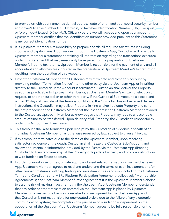to provide us with your name, residential address, date of birth, and your social security number and driver's license number (U.S. Citizens), or Taxpayer Identification Number (TIN), Passport, or foreign govt issued ID (non-U.S. Citizens) before we will accept and open your account. Upstream Member certifies that the identification number provided pursuant to this Statement is my correct identification number.

- 4. It is Upstream Member's responsibility to prepare and file all required tax returns including income and capital gains. Upon request through the Upstream App, Custodian will provide to Upstream Member a statement containing all information regarding the transactions executed under this Statement that may reasonably be required for the preparation of Upstream Member's income tax returns. Upstream Member is responsible for the payment of any and all accountant and attorney fees incurred in the preparation of Upstream Member's tax return or resulting from the operation of this Account.
- 5. Either the Upstream Member or the Custodian may terminate and close this account by providing notice ("Termination Notice") to the other party via the Upstream App or in writing directly to the Custodian. If the Account is terminated, Custodian shall deliver the Property as soon as practicable to Upstream Member or, at Upstream Member's written or electronic request, to another custodian or other third party. If the Custodial Sub-Account is closed and within 30 days of the date of the Termination Notice, the Custodian has not received delivery instructions, the Custodian may deliver Property in kind and/or liquidate Property and send the net proceeds to the Upstream Member at the last address the Upstream Member provided to the Custodian. Upstream Member acknowledges that Property may require a reasonable amount of time to be transferred. Upon delivery of all Property, the Custodian's responsibility under this Account will then cease.
- 6. This Account shall also terminate upon receipt by the Custodian of evidence of death of an individual Upstream Member or as otherwise required by law, subject to clause 7 below.
- 7. If this Account terminates due to the death of the Upstream Member, upon receiving satisfactory evidence of the death, Custodian shall freeze the Custodial Sub-Account and review documents, or information provided by the Estate via the Upstream App directing Custodian to transfer ownership of the Property or liquidate Property and provide instructions to wire funds to an Estate account.
- 8. In order to invest in securities, private equity and asset related transactions via the Upstream App, Upstream Member, agrees to read and understand the terms of each investment and/or other relevant materials outlining trading and investment rules and risks including the Upstream Terms and Conditions and MERJ Platform Participation Agreement (collectively "Membership Agreements"); and Upstream Member further agrees that it is the Upstream Member's choice to assume risk of making investments via the Upstream App. Upstream Member understands that any order or other transaction entered via the Upstream App is placed by Upstream Member on a best-efforts basis as prescribed and recognized by the Upstream App and that Custodian is not responsible for unexecuted orders due to the failure of any electronic communication system; the completion of a purchase or liquidation is dependent on the cooperation of the Upstream App. Upstream Member agrees to be fully responsible for the



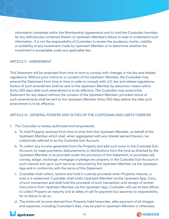information contained within the Membership Agreements and to hold the Custodian harmless for any deficiencies contained therein or Upstream Member's failure to read or understand such information. It is not the responsibility of Custodian to review the prudence, merits, viability or suitability of any investment made by Upstream Member or to determine whether the investment is acceptable under any applicable law.

### ARTICLE II - AMENDMENT

This Statement will be amended from time to time to comply with changes in the law and related regulations. Without prior notice to or consent of the Upstream Member, the Custodian may amend this Statement from time to time in order to comply with U.S. law and related regulations. Notice of such amendment shall be sent to the Upstream Member by electronic means within thirty (30) days after such amendment is to be effective. The Custodian may amend this Statement for any reason without the consent of the Upstream Member; provided notice of such amendments shall be sent to the Upstream Member thirty (30) days before the date such amendment is to be effective.

# ARTICLE III - GENERAL POWERS AND DUTIES OF THE CUSTODIAN AND LIMITS THEREON

- 1. The Custodian is hereby authorized and empowered:
	- a. To hold Property received from time to time from the Upstream Member, on behalf of the Upstream Member which shall, when aggregated with any interest earned thereon, be collectively referred to as the Custodial Sub-Account.
	- b. To collect any income generated from the Property and add such sums to the Custodial Sub-Account; to make payments, disbursements or distributions from the fund as directed by the Upstream Member or as provided under the provisions of this Statement; to purchase, sell, convey, assign, exchange, mortgage or pledge any property in the Custodial Sub-Account in such manner and upon such terms as instructed by the Upstream Member via the Upstream App and in conformity with the terms of this Statement.
	- c. Custodian shall collect, receive and hold in custody proceeds when Property matures, is sold or is redeemed. Custodian shall notify Upstream Member via the Upstream App, if any, of such transaction and shall hold the proceeds of such transaction until receipt of written instructions from Upstream Member via the Upstream App. Custodian will use its best efforts to collect Property at maturity and at dates of call for payment but assumes no responsibility for its failure to do so.
	- d. The entire net income derived from Property held hereunder, after payment of all charges and expenses, including Custodian's fees, may be paid to Upstream Member or otherwise,



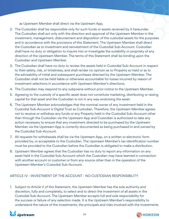as Upstream Member shall direct via the Upstream App.

- 2. The Custodian shall be responsible only for such funds or assets received by it hereunder. The Custodian shall act only with the direction and approval of the Upstream Member in the investment, management, disbursement and disposition of the custodial assets for the purposes and in accordance with the provisions of this Statement. The Upstream Member shall direct the Custodian as to investment and reinvestment of the Custodial Sub-Account. Custodian shall have no duty or obligation to inquire into or investigate the suitability or propriety of any direction of the Upstream Member. The terms of this Statement shall be binding upon the Custodian and Upstream Member.
- 3. The Custodian shall have no duty to review the assets held in Custodial Sub-Account in respect to their safety, risk, or timeliness, and shall render no opinion as to Property so held or as to the advisability of initial and subsequent purchases directed by the Upstream Member. The Custodian shall not be held liable or otherwise accountable for losses incurred by reason of investment selections in accordance with Upstream Member's directions.
- 4. The Custodian may respond to any subpoena without prior notice to the Upstream Member.
- 5. Agreeing to the custody of a specific asset does not constitute marketing, distributing or raising capital for that asset and the Custodian is not in any way endorsing the asset.
- 6. The Upstream Member acknowledges that the nominal owner of any investment held in the Custodial Sub-Account is Digital Trust as Custodian. Therefore, the Upstream Member agrees not to receive or withdraw any funds or any Property held in the Custodial Sub-Account other than through the Custodian via the Upstream App and Custodian is authorized to take any action necessary to ensure that any investment directed to be purchased by the Upstream Member via the Upstream App is correctly documented as being purchased in and owned by the Custodial Sub-Account.
- 7. All requests for withdrawals shall be via the Upstream App, on a written or electronic form provided by, or acceptable to the Custodian. The Upstream Member's tax identification number must be provided to the Custodian before the Custodian is obligated to make a distribution.
- 8. Upstream Member agrees that the Custodian has no duty to report any information on any asset held in the Custodial Sub-Account which the Custodian may have learned in connection with another account or customer or from any source other than in the operation of the Upstream Member's Custodial Sub-Account.

# ARTICLE IV - INVESTMENT OF THE ACCOUNT - NO CUSTODIAN RESPONSIBILITY

1. Subject to Article V of this Statement, the Upstream Member has the sole authority and discretion, fully and completely, to select and to direct the investment of all assets in the Custodial Sub-Account. The Upstream Member accepts full and sole responsibility for the success or failure of any selection made. It is the Upstream Member's responsibility to understand the nature of the investments, the principals and risks involved with the investments



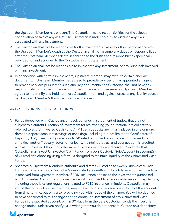the Upstream Member has chosen. The Custodian has no responsibilities for the selection, continuation or sale of any assets. The Custodian is under no duty to disclose any risks associated with any investment.

- 2. The Custodian shall not be responsible for the investment of assets or their performance after the Upstream Member's death as the Custodian shall not assume any duties or responsibilities after the Upstream Member's death in addition to the duties and responsibilities specifically provided for and assigned to the Custodian in this Statement.
- 3. The Custodian shall not be responsible to investigate any investment, or any principals involved with any investment.
- 4. In connection with certain investments, Upstream Member may execute certain ancillary documents. If Upstream Member has agreed to provide services or has appointed an agent to provide services pursuant to such ancillary documents, the Custodian shall not have any responsibility for the performance or nonperformance of those services. Upstream Member agrees to indemnify and hold harmless Custodian from and against losses or any liability caused by Upstream Member's third-party service providers.

# ARTICLE V - UNINVESTED CASH FUNDS.

- 1. Funds deposited with Custodian, or received funds in settlement of trades, that are not subject to a current Direction of Investment (or are awaiting your direction), are collectively referred to as ("Uninvested Cash Funds"). All cash deposits are initially placed in one or more demand deposit accounts (savings or checking), including but not limited to Certificates of Deposit (CDs), investment grade bonds, "A" rated or higher life insurance companies (fixed annuities) and/or Treasury Notes, other loans, maintained by us, and your account is credited with all Uninvested Cash Funds the same business day they are received. You agree that Custodian may invest Uninvested Cash Funds from your Custodial Sub-Account in account(s) of Custodian's choosing using a formula designed to maintain liquidity of the Uninvested Cash Funds.
- 2. Specifically, Upstream Members authorize and directs Custodian to sweep Uninvested Cash Funds automatically into Custodian's designated account(s) until such time as further direction is received from Upstream Member. If FDIC insurance applies to the investments purchased with Uninvested Cash Funds, the insurance will be subject to all applicable laws and regulations, including those laws and regulations related to FDIC insurance limitations. Custodian may adjust the formula for investment between the accounts or replace one or both of the accounts from time to time, but only after providing you with notice of the change. You will be deemed to have consented to this change and the continued investment of any Uninvested Cash Funds in the updated account, within 30 days from the date Custodian sends the investment change notice, unless you notify us in writing that you do not consent. Custodian's depository



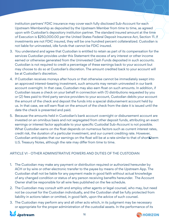institution partners' FDIC insurance may cover each fully disclosed Sub-Account for each Upstream Membership as deposited by the Upstream Member from time to time, as agreed upon with Custodian's depository institution partner. The standard insured amount at the time of Execution is \$250,000.00 per the United States Federal Deposit Insurance Act, Section 11. If investments are not FDIC insured, they will be one hundred percent collateralized. Custodian is not liable for uninvested, idle funds that cannot be FDIC insured.

- 3. You understand and agree that Custodian is entitled to retain as part of its compensation for the services Custodian provides under this Statement the excess of any interest or other income earned or otherwise generated from the Uninvested Cash Funds deposited in such accounts. Custodian is not required to credit a percentage of these earnings back to your account but may choose to do so at Custodian's discretion. The amount credited back to your account will be at Custodian's discretion.
- 4. If Custodian receives moneys after hours or that otherwise cannot be immediately swept into an approved interest-bearing investment, such amounts may remain uninvested in our bank account overnight. In that case, Custodian may also earn float on such amounts. In addition, if Custodian issues a check on your behalf in connection with (1) distributions requested by you or (2) fees paid to third party service providers to your account, Custodian debits your account the amount of the check and deposit the funds into a special disbursement account held by us. In that case, we will earn float on the amount of the check from the date it is issued until the date the check is presented and paid.
- 5. Because the amounts held in Custodian's bank account overnight or disbursement account are invested on an omnibus basis and not segregated from other deposit funds, attributing an exact earnings or interest factor applicable to your specific Custodial Sub-Account is not possible. What Custodian earns on the float depends on numerous factors such as current interest rates, credit risk, the duration of a particular investment, and our current crediting rate. However, Custodian anticipates that our earnings on the float will be at a rate similar to that of short‐term U.S. Treasury Notes, although the rate may differ from time to time.

# ARTICLE VI - OTHER ADMINISTRATIVE POWERS AND DUTIES OF THE CUSTODIAN

- 1. The Custodian may make any payment or distribution required or authorized hereunder by ACH or by wire or other electronic transfer to the payee by means of the Upstream App. The Custodian shall not be liable for any payment made in good faith without actual knowledge of any changed condition or status of any person receiving benefits hereunder. The Account Owner shall be responsible for all wire fees published on the fee schedule.
- 2. The Custodian may consult with and employ other agents or legal counsel, who may, but need not be counsel for the Custodian individually, and the Custodian shall be fully protected from liability in actions taken or omitted, in good faith, upon the advice of such counsel.
- 3. The Custodian may perform any and all other acts which, in its judgment may be necessary or appropriate for the proper administration of the custodial assets. In the performance of its



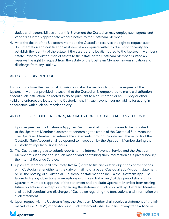duties and responsibilities under this Statement the Custodian may employ such agents and vendors as it feels appropriate without notice to the Upstream Member.

4. After the death of the Upstream Member, the Custodian reserves the right to request such documentation and certification as it deems appropriate within its discretion to verify and establish the identity of the estate, if the assets are to be distributed to the Upstream Member's estate. Prior to a distribution of assets to the estate of the Upstream Member, Custodian reserves the right to request from the estate of the Upstream Member, indemnification and discharge from any liability.

# ARTICLE VII - DISTRIBUTIONS

Distributions from the Custodial Sub-Account shall be made only upon the request of the Upstream Member provided however, that the Custodian is empowered to make a distribution absent such instruction if directed to do so pursuant to a court order, or an IRS levy or other valid and enforceable levy, and the Custodian shall in such event incur no liability for acting in accordance with such court order or levy.

# ARTICLE VIII - RECORDS, REPORTS, AND VALUATION OF CUSTODIAL SUB-ACCOUNTS

- 1. Upon request via the Upstream App, the Custodian shall furnish or cause to be furnished to the Upstream Member a statement concerning the status of the Custodial Sub-Account. The Upstream Member can retrieve the statements through the internet. The records of the Custodial Sub-Account shall be opened to inspection by the Upstream Member during the Custodian's regular business hours.
- 2. The Custodian agrees to submit reports to the Internal Revenue Service and the Upstream Member at such time and in such manner and containing such information as is prescribed by the Internal Revenue Service.
- 3. Upstream Member shall have forty-five (45) days to file any written objections or exceptions with Custodian after either (a) the date of mailing of a paper Custodial Sub-Account statement or (b) the posting of a Custodial Sub-Account statement online via the Upstream App. The failure to file any objections or exceptions within said forty-five (45) day period shall signify Upstream Member's approval of the statement and preclude Upstream Member from making future objections or exceptions regarding the statement. Such approval by Upstream Member shall be full acquittal and discharge of Custodian regarding the transactions and information on such statement.
- 4. Upon request via the Upstream App, the Upstream Member shall receive a statement of the fair market value ("FMV") of the Account. Such statements shall be in lieu of any trade advice or



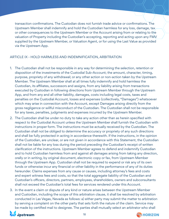transaction confirmations. The Custodian does not furnish trade advice or confirmations. The Upstream Member shall indemnify and hold the Custodian harmless for any loss, damage, tax or other consequences to the Upstream Member or the Account arising from or relating to the valuation of Property including the Custodian's accepting, reporting and acting upon any FMV supplied by the Upstream Member, or Valuation Agent, or for using the Last Value as provided via the Upstream App.

# ARTICLE IX - HOLD HARMLESS AND INDEMNIFICATION, ARBITRATION

- 1. The Custodian shall not be responsible in any way for determining the selection, retention or disposition of the investments of the Custodial Sub-Account; the amount, character, timing, purpose, propriety of any withdrawal; or any other action or non-action taken by the Upstream Member. The Upstream Member shall at all times fully indemnify and hold harmless the Custodian, its affiliates, successors and assigns, from any liability arising from transactions executed by Custodian in following directions from Upstream Member through the Upstream App, and from any and all other liability, damages, costs including legal costs, taxes and penalties on the Custodial Account, losses and expenses (collectively, "Damages") whatsoever which may arise in connection with the Account, except Damages arising directly from the gross negligence or willful misconduct of the Custodian. The Custodian shall not be responsible for any taxes, penalties, judgments and expenses incurred by the Upstream Member.
- 2. The Custodian shall be under no duty to take any action other than as herein specified with respect to the Custodial Account unless the Upstream Member shall furnish the Custodian with instructions in proper form. The instructions must be actually received by the Custodian. The Custodian shall not be obliged to determine the accuracy or propriety of any such directions and shall be fully protected in acting in accordance therewith. If the instructions, in the opinion of the Custodian, are unclear, or are not given in accordance with this Statement, the Custodian shall not be liable for any loss during the period preceding the Custodian's receipt of written clarification of the instructions. Upstream Member agrees to defend and indemnify Custodian and to hold Custodian harmless from and against all damages arising from taking any direction, orally or in writing, by original document, electronic copy or fax, from Upstream Member through the Upstream App. Custodian shall not be required to expend or risk any of its own funds or otherwise incur any financial or other liability in the performance of any of its duties hereunder. Claims expenses from any cause or causes, including attorney's fees and costs and expert witness fees and costs, so that the total aggregate liability of the Custodian and Custodian's officers, directors, partners, employees, shareholders, owners and subconsultants shall not exceed the Custodian's total fees for services rendered under this Account.
- 3. In the event a claim or dispute of any kind or nature arises between the Upstream Member and Custodian, including the scope of this arbitration clause, it shall be resolved by arbitration conducted in Las Vegas, Nevada as follows: a) either party may submit the matter to arbitration by serving a complaint on the other party that sets forth the nature of the claim. Service may be made by certified mail to designee. The parties shall mutually select an arbitrator who shall



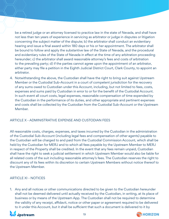be a retired judge or an attorney licensed to practice law in the state of Nevada, and shall have not less than ten years of experience in servicing as arbitrator or judge in disputes or litigation concerning the subject matter of the dispute; b) the arbitrator shall conduct an evidentiary hearing and issue a final award within 180 days or his or her appointment. The arbitrator shall be bound to follow and apply the substantive law of the State of Nevada, and the procedural and evidentiary rules of the State of Nevada in effect at the time of any arbitration proceeding hereunder; c) the arbitrator shall award reasonable attorney's fees and costs of arbitration to the prevailing party; d) if the parties cannot agree upon the appointment of an arbitrator, either party may file a petition in the Eighth Judicial District Court, Clark County, to appoint an arbitrator.

4. Notwithstanding the above, the Custodian shall have the right to bring suit against Upstream Member or the Custodial Sub-Account in a court of competent jurisdiction for the recovery of any sums owed to Custodian under this Account, including, but not limited to fees, costs, expenses and sums paid by Custodian in error to or for the benefit of the Custodial Account. In such event all court costs, legal expenses, reasonable compensation of time expended by the Custodian in the performance of its duties, and other appropriate and pertinent expenses and costs shall be collected by the Custodian from the Custodial Sub-Account or the Upstream Member.

# ARTICLE X - ADMINISTRATIVE EXPENSE AND CUSTODIAN FEES

All reasonable costs, charges, expenses, and taxes incurred by the Custodian in the administration of the Custodial Sub-Account (including legal fees and compensation of other agents) payable to the Custodian will be charged to and paid from the Custodial Commission Account, which shall be held by the Custodian for MERJ and to which all fees payable by the Upstream Member to MERJ in respect of the Property shall be credited. In the event that any fees remain unpaid, Custodian shall have the right to seek a judicial settlement in which Upstream Member would also be liable for all related costs of the suit including reasonable attorney's fees. The Custodian reserves the right to discount any of its fees within its discretion to certain Upstream Members without notice thereof to the Upstream Member.

### ARTICLE XI - NOTICES

1. Any and all notices or other communications directed to be given to the Custodian hereunder shall not be deemed delivered until actually received by the Custodian, in writing, at its place of business or by means of the Upstream App. The Custodian shall not be required to determine the validity of any receipt, affidavit, notice or other paper or agreement required to be delivered to it under this Account, but it shall be sufficient that such a document is delivered to it by



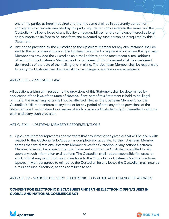one of the parties as herein required and that the same shall be in apparently correct form and signed or otherwise executed by the party required to sign or execute the same, and the Custodian shall be relieved of any liability or responsibilities for the sufficiency thereof as long as it purports on its face to be such form and executed by such person as is required by this Statement.

2. Any notice provided by the Custodian to the Upstream Member for any circumstance shall be sent to the last known address of the Upstream Member by regular mail or, where the Upstream Member has provided the Custodian an e-mail address, to the most recent e-mail address of record for the Upstream Member, and for purposes of this Statement shall be considered delivered as of the date of the mailing or e- mailing. The Upstream Member shall be responsible to notify the Custodian via Upstream App of a change of address or e-mail address.

# ARTICLE XII - APPLICABLE LAW

All questions arising with respect to the provisions of this Statement shall be determined by application of the laws of the State of Nevada. If any part of this Statement is held to be illegal or invalid, the remaining parts shall not be affected. Neither the Upstream Member's nor the Custodian's failure to enforce at any time or for any period of time any of the provisions of the Statement shall be construed as a waiver of such provisions Custodian's right thereafter to enforce each and every such provision.

### ARTICLE XIII - UPSTREAM MEMBER'S REPRESENTATIONS

a. Upstream Member represents and warrants that any information given or that will be given with respect to this Custodial Sub-Account is complete and accurate. Further, Upstream Member agrees that any directions Upstream Member gives the Custodian, or any actions Upstream Member takes will be proper under this Statement and that the Custodian is entitled to rely upon any such information or directions. The Custodian shall not be responsible for losses of any kind that may result from such directions to the Custodian or Upstream Member's actions. Upstream Member agrees to reimburse the Custodian for any losses the Custodian may incur as a result of such directions, actions or failures to act.

ARTICLE XIV - NOTICES, DELIVERY, ELECTRONIC SIGNATURE AND CHANGE OF ADDRESS

# **CONSENT FOR ELECTRONIC DISCLOSURES UNDER THE ELECTRONIC SIGNATURES IN GLOBAL AND NATIONAL COMMERCE ACT**



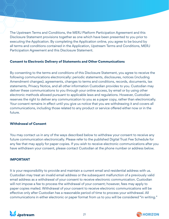The Upstream Terms and Conditions, the MERJ Platform Participation Agreement and this Disclosure Statement provisions together as one which have been presented to you prior to executing the Application. By completing the Application online, you agree to be bound by all terms and conditions contained in the Application, Upstream Terms and Conditions, MERJ Participation Agreement and this Disclosure Statement.

#### **Consent to Electronic Delivery of Statements and Other Communications**

By consenting to the terms and conditions of this Disclosure Statement, you agree to receive the following communications electronically: periodic statements, disclosures, notices (including Amendment changes), agreements, changes to terms and conditions, records, documents, tax statements, Privacy Notice, and all other information Custodian provides to you. Custodian may deliver these communications to you through your online access, by email or by using other electronic methods allowed pursuant to applicable laws and regulations. However, Custodian reserves the right to deliver any communication to you as a paper copy, rather than electronically. Your consent remains in effect until you give us notice that you are withdrawing it and covers all communications, including those related to any product or service offered either now or in the future.

#### **Withdrawal of Consent**

You may contact us in any of the ways described below to withdraw your consent to receive any future communication electronically. Please refer to the published Digital Trust Fee Schedule for any fee that may apply for paper copies. If you wish to receive electronic communications after you have withdrawn your consent, please contact Custodian at the phone number or address below.

#### **IMPORTANT**

It is your responsibility to provide and maintain a current email and residential address with us. Custodian may treat an invalid email address or the subsequent malfunction of a previously valid email address as a withdrawal of your consent to receive electronic communication. Custodian will not impose a fee to process the withdrawal of your consent; however, fees may apply to paper copies mailed. Withdrawal of your consent to receive electronic communications will be effective only after Custodian has a reasonable period of time to process your withdrawal. All communications in either electronic or paper format from us to you will be considered "in writing."



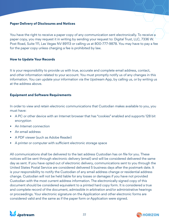#### **Paper Delivery of Disclosures and Notices**

You have the right to receive a paper copy of any communication sent electronically. To receive a paper copy, you may request it in writing by sending your request to: Digital Trust, LLC, 7336 W. Post Road, Suite 111, Las Vegas NV 89113 or calling us at 800-777-9878. You may have to pay a fee for the paper copy unless charging a fee is prohibited by law.

#### **How to Update Your Records**

It is your responsibility to provide us with true, accurate and complete email address, contact, and other information related to your account. You must promptly notify us of any changes in this information. You can update your information via the Upstream App, by calling us, or by writing us at the address above.

#### **Equipment and Software Requirements**

In order to view and retain electronic communications that Custodian makes available to you, you must have:

- A PC or other device with an Internet browser that has "cookies" enabled and supports 128 bit encryption
- An Internet connection
- An email address
- A PDF viewer (such as Adobe Reader)
- A printer or computer with sufficient electronic storage space

All communications shall be delivered to the last address Custodian has on file for you. These notices will be sent through electronic delivery (email) and will be considered delivered the same day as sent. If you have opted out of electronic delivery, communications sent to you through the United States Postal Service are considered delivered 5 business days after the postmark date. It is your responsibility to notify the Custodian of any email address change or residential address change. Custodian will not be held liable for any losses or damages if you have not provided Custodian with the most current address information. The electronically signed copy of this document should be considered equivalent to a printed hard copy form. It is considered a true and complete record of the document, admissible in arbitration and/or administrative hearings or proceedings. Your electronic signature on the Application and other electronic forms are considered valid and the same as if the paper form or Application were signed.



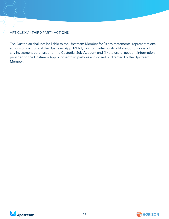# ARTICLE XV - THIRD PARTY ACTIONS

The Custodian shall not be liable to the Upstream Member for (i) any statements, representations, actions or inactions of the Upstream App, MERJ, Horizon Fintex, or its affiliates, or principal of any investment purchased for the Custodial Sub-Account and (ii) the use of account information provided to the Upstream App or other third party as authorized or directed by the Upstream Member.



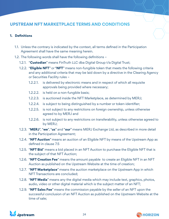# **UPSTREAM NFT MARKETPLACE TERMS AND CONDITIONS**

# **1. Definitions**

- 1.1. Unless the contrary is indicated by the context, all terms defined in the Participation Agreement shall have the same meaning herein.
- 1.2. The following words shall have the following definitions
	- 1.2.1. "**Custodian**" means FinTruth LLC dba Digital Group t/a Digital Trust;
	- 1.2.2. "**Eligible NFT**" or "**NFT**" means non-fungible token that meets the following criteria and any additional criteria that may be laid down by a directive in the Clearing Agency or Securities Facility rules –
		- 1.2.2.1. is delivered by electronic means and in respect of which all requisite approvals being provided where necessary;
		- 1.2.2.2. is held on a non-fungible basis;
		- 1.2.2.3. is auctioned inside the NFT Marketplace, as determined by MERJ;
		- 1.2.2.4. is subject to being distinguished by a number or token-identifier;
		- 1.2.2.5. is not subject to any restrictions on foreign ownership, unless otherwise agreed to by MERJ and
		- 1.2.2.6. is not subject to any restrictions on transferability, unless otherwise agreed to by MERJ;
	- 1.2.3. "**MERJ**", "**we**", "**us**" and "**our**" means MERJ Exchange Ltd, as described in more detail in the Participation Agreement;
	- 1.2.4. "**NFT Auction**" means an auction of an Eligible NFT by means of the Upstream App as defined in clause 7.5
	- 1.2.5. "**NFT Bid**" means a bid placed in an NFT Auction to purchase the Eligible NFT that is the subject of that NFT Auction;
	- 1.2.6. "**NFT Creation Fee**" means the amount payable to create an Eligible NFT in an NFT Auction as published on the Upstream Website at the time of creation;
	- 1.2.7. "**NFT Marketplace**" means the auction marketplace on the Upstream App in which NFT Transactions are concluded;
	- 1.2.8. "**NFT Media**" means any the digital media which may include text, graphics, photos, audio, video or other digital material which is the subject matter of an NFT;
	- 1.2.9. "**NFT Sales Fee**" means the commission payable by the seller of an NFT upon the successful conclusion of an NFT Auction as published on the Upstream Website at the time of sale;



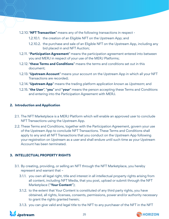- 1.2.10."**NFT Transaction**" means any of the following transactions in respect
	- 1.2.10.1. the creation of an Eligible NFT on the Upstream App; and
	- 1.2.10.2. the purchase and sale of an Eligible NFT on the Upstream App, including any bid placed in and NFT Auction;
- 1.2.11. "**Participation Agreement**" means the participation agreement entered into between you and MERJ in respect of your use of the MERJ Platforms;
- 1.2.12."**these Terms and Conditions**" means the terms and conditions set out in this document;
- 1.2.13."**Upstream Account**" means your account on the Upstream App in which all your NFT Transactions are recorded;
- 1.2.14."**Upstream App**" means the trading platform application known as *Upstream*; and
- 1.2.15. "**the User**", "**you**" and "**your**" means the person accepting these Terms and Conditions and entering into the Participation Agreement with MERJ.

### **2. Introduction and Application**

- 2.1. The NFT Marketplace is a MERJ Platform which will enable an approved user to conclude NFT Transactions using the Upstream App.
- 2.2. These Terms and Conditions, together with the Participation Agreement, govern your use of the Upstream App to conclude NFT Transactions. These Terms and Conditions shall apply to any and all NFT Transactions that you conduct on the Upstream App following your registration on Upstream as a user and shall endure until such time as your Upstream Account has been terminated.

### **3. INTELLECTUAL PROPERTY RIGHTS**

- 3.1. By creating, providing, or selling an NFT through the NFT Marketplace, you hereby represent and warrant that –
	- 3.1.1. you own all legal right, title and interest in all intellectual property rights arising from all content, including NFT Media, that you post, upload or submit through the NFT Marketplace ("**Your Content**");
	- 3.1.2. to the extent that Your Content is constituted of any third party rights, you have obtained, all rights, licenses, consents, permissions, power and/or authority necessary to grant the rights granted herein;
	- 3.1.3. you can give valid and legal title to the NFT to any purchaser of the NFT in the NFT



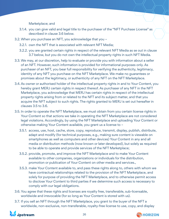Marketplace; and

- 3.1.4. you can give valid and legal title to the purchaser of the "NFT Purchase License" as described in clause 3.6 below.
- 3.2. When you purchase an NFT, you acknowledge that you
	- 3.2.1. own the NFT that is associated with relevant NFT Media;
	- 3.2.2. you are granted certain rights in respect of the relevant NFT Media as se out in clause 3.7 below, but you do not own the intellectual property rights in such NFT Media.
- 3.3. We may, at our discretion, help to evaluate or provide you with information about a seller of an NFT. However, such information is provided for informational purposes only. As purchaser of an NFT, you bear full responsibility for verifying the authenticity, legitimacy, identity of any NFT you purchase on the NFT Marketplace. We make no guarantees or promises about the legitimacy, or authenticity of any NFT on the NFT Marketplace.
- 3.4. As owner or authorised holder of the intellectual property rights in and to Your Content, you hereby grant MERJ certain rights in respect thereof. As purchaser of any NFT in the NFT Marketplace, you acknowledge that MERJ has certain rights in respect of the intellectual property rights arising from or related to the NFT and its subject matter, and that you acquire the NFT subject to such rights. The rights granted to MERJ is set out hereafter in clauses 3.5 to 3.6.
- 3.5. In order to operate the NFT Marketplace, we must obtain from you certain license rights in Your Content so that actions we take in operating the NFT Marketplace are not considered legal violations. Accordingly, by using the NFT Marketplace and uploading Your Content or otherwise making Your Content available, you grant us a license to –
	- 3.5.1. access, use, host, cache, store, copy, reproduce, transmit, display, publish, distribute, adapt and modify (for technical purposes, e.g., making sure content is viewable on smartphones as well as computers and other devices) Your Content in any and all media or distribution methods (now known or later developed), but solely as required to be able to operate and provide services of the NFT Marketplace;
	- 3.5.2. provide, promote, and improve the NFT Marketplace and to make Your Content available to other companies, organizations or individuals for the distribution, promotion or publication of Your Content on other media and services.,
	- 3.5.3. make Your Content available to, and pass these rights along to, others with whom we have contractual relationships related to the provision of the NFT Marketplace, and solely for purpose of providing the NFT Marketplace, and to otherwise permit access to disclose Your Content to third parties if we determine such access is necessary to comply with our legal obligations.
- 3.6. You agree that these rights and licenses are royalty free, transferable, sub-licensable, worldwide and irrevocable (for so long as Your Content is stored with us).
- 3.7. If you sell an NFT through the NFT Marketplace, you grant to the buyer of the NFT a worldwide, non-exclusive, non-transferable, royalty-free license to use, copy, and display



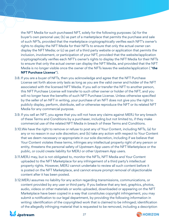the NFT Media for such purchased NFT, solely for the following purposes: (a) for the buyer's own personal use; (b) as part of a marketplace that permits the purchase and sale of such NFTs, provided that the marketplace cryptographically verifies each NFT's owner's rights to display the NFT Media for their NFTs to ensure that only the actual owner can display the NFT Media; or (c) as part of a third party website or application that permits the inclusion, involvement, or participation of your NFT, provided that the website/application cryptographically verifies each NFT's owner's rights to display the NFT Media for their NFTs to ensure that only the actual owner can display the NFT Media, and provided that the NFT Media is no longer visible once the owner of the NFTs leaves the website/application ( "**the NFT Purchase License**").

- 3.8. If you are a buyer of NFTs, then you acknowledge and agree that the NFT Purchase License set forth above only lasts as long as you are the valid owner and holder of the NFT associated with the licensed NFT Media. If you sell or transfer the NFT to another person, this NFT Purchase License will transfer to such other owner or holder of the NFT, and you will no longer have the benefits of such NFT Purchase License. Unless otherwise specified by the seller of an NFT in writing, your purchase of an NFT does not give you the right to publicly display, perform, distribute, sell or otherwise reproduce the NFT or its related NFT Media for any commercial purpose.
- 3.9. If you sell an NFT, you agree that you will not have any claims against MERJ for any breach of these Terms and Conditions by a purchaser, including but not limited to, if they make commercial use of the related NFT Media in breach of these Terms and Conditions.
- 3.10.We have the right to remove or refuse to post any of Your Content, including NFTs, (a) for any or no reason in our sole discretion; and (b) take any action with respect to Your Content that we deem necessary or appropriate in our sole discretion, including if we believe that Your Content violates these terms, infringes any intellectual property right of any person or entity, threatens the personal safety of Upstream App users of the NFT Marketplace or the public, or could create liability for MERJ or other Upstream App users.
- 3.11.MERJ may, but is not obligated to, monitor the NFTs, NFT Media and Your Content uploaded to the NFT Marketplace for any infringement of a third party's intellectual property rights. However, MERJ cannot undertake to review all such content before it is posted on the NFT Marketplace, and cannot ensure prompt removal of objectionable content after it has been posted.
- 3.12.MERJ assumes no liability for any action regarding transmissions, communications, or content provided by any user or third party. If you believe that any text, graphics, photos, audio, videos or other materials or works uploaded, downloaded or appearing on the NFT Marketplace have been copied in a way that constitutes copyright infringement, you may submit a notification to our legal department, by providing the following information in writing: identification of the copyrighted work that is claimed to be infringed; identification of the allegedly infringing material that is requested to be removed, including a description



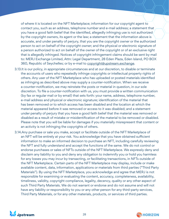of where it is located on the NFT Marketplace; information for our copyright agent to contact you, such as an address, telephone number and e-mail address; a statement that you have a good faith belief that the identified, allegedly infringing use is not authorized by the copyright owners, its agent or the law; a statement that the information above is accurate, and under penalty of perjury, that you are the copyright owner or the authorized person to act on behalf of the copyright owner; and the physical or electronic signature of a person authorized to act on behalf of the owner of the copyright or of an exclusive right that is allegedly infringed. Notices of copyright infringement claims should be sent by mail to: MERJ Exchange Limited, Attn: Legal Department, 28 Eden Plaza, Eden Island, PO BOX 360, Republic of Seychelles; or by e-mail to copyright@upstream.exchange.

- 3.13.It is our policy, in appropriate circumstances and at our discretion, to disable or terminate the accounts of users who repeatedly infringe copyrights or intellectual property rights of others. Any user of the NFT Marketplace who has uploaded or posted materials identified as infringing as described above may supply a counter-notification. When we receive a counter-notification, we may reinstate the posts or material in question, in our sole discretion. To file a counter-notification with us, you must provide a written communication (by fax or regular mail or by email) that sets forth: your name, address, telephone number, e-mail address and physical or electronic signature; identification of the material that has been removed or to which access has been disabled and the location at which the material appeared before it was removed or access to it was disabled; and a statement under penalty of perjury that you have a good faith belief that the material was removed or disabled as a result of mistake or misidentification of the material to be removed or disabled. Please note that you will be liable for damages if you materially misrepresent that content or an activity is not infringing the copyrights of others.
- 3.14.Any purchase or sale you make, accept or facilitate outside of the NFT Marketplace of an NFT will be entirely at your risk. You acknowledge that you have obtained sufficient information to make an informed decision to purchase an NFT, including carefully reviewing the NFT and fully understand and accept the functions of the same. We do not control or endorse purchases or sales of NFTs outside of the NFT Marketplace. We expressly deny and disclaim any liability to you and deny any obligation to indemnify you or hold you harmless for any losses you may incur by transacting, or facilitating transactions, in NFTs outside of the NFT Marketplace. Certain parts of the NFT Marketplace may display, include or make available content, data, information, applications or materials from third parties ("Third Party Materials"). By using the NFT Marketplace, you acknowledge and agree that MERJ is not responsible for examining or evaluating the content, accuracy, completeness, availability, timeliness, validity, copyright compliance, legality, decency, quality or any other aspect of such Third Party Materials. We do not warrant or endorse and do not assume and will not have any liability or responsibility to you or any other person for any third-party services, Third Party Materials, or for any other materials, products, or services of third parties.



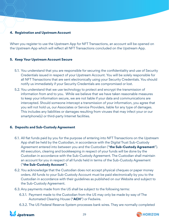# **4. Registration and Upstream Account**

When you register to use the Upstream App for NFT Transactions, an account will be opened on the Upstream App which will reflect all NFT Transactions concluded on the Upstream App.

### **5. Keep Your Upstream Account Secure**

- 5.1. You understand that you are responsible for securing the confidentiality and use of Security Credentials issued in respect of your Upstream Account. You will be solely responsible for all NFT Transactions that are sent electronically using your Security Credentials. You should notify us immediately if your Security Credentials are compromised or lost.
- 5.2. You understand that we use technology to protect and encrypt the transmission of information from and to you. While we believe that we have taken reasonable measures to keep your information secure, we are not liable if your data and communications are intercepted. Should someone intercept a transmission of your information, you agree that you will not hold us, our Associates or Service Providers, liable for any type of damages. This includes any liabilities or damages resulting from viruses that may infect your or our smartphone(s) or third-party Internet facilities.

### **6. Deposits and Sub-Custody Agreement**

- 6.1. All fiat funds paid by you for the purpose of entering into NFT Transactions on the Upstream App shall be held by the Custodian, in accordance with the Digital Trust Sub-Custody Agreement entered into between you and the Custodian ("**the Sub-Custody Agreement**"). All execution, clearing and bookkeeping in respect of your funds will be done by the Custodian in accordance with the Sub-Custody Agreement. The Custodian shall maintain an account for you in respect of all funds held in terms of the Sub-Custody Agreement ("**the Sub-Custody Account**").
- 6.2. You acknowledge that the Custodian does not accept physical cheques or paper money orders. All funds to your Sub-Custody Account must be paid electronically by you to the Custodian in accordance with their guidelines as published on our Website and subject to the Sub-Custody Agreement.
- 6.3. Any payments made from the US shall be subject to the following terms:
	- 6.3.1. Payment made to the Custodian from the US may only be made by way of The Automated Clearing House ("**ACH**") or Fedwire.
	- 6.3.2. The US Federal Reserve System processes bank wires. They are normally completed



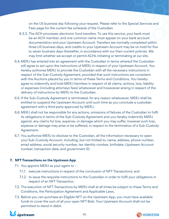on the US business day following your request. Please refer to the Special Services and Fees page for the current fee schedule of the Custodian.

- 6.3.3. The ACH processes electronic fund transfers. To use this service, your bank must be an ACH member, and one common name must appear on your bank account documentation and your Upstream Account. Transfers are normally completed within three US business days, and credits to your Upstream Account may be on hold for five to seven business days thereafter, in accordance with our then-current policies. We may limit whether we accept or permit ACHs initiating or terminating at our site.
- 6.4.MERJ has entered into an agreement with the Custodian in terms whereof the Custodian will agree to act upon the instructions of MERJ in respect of your Upstream Account. You hereby authorise MERJ to provide the Custodian with all the necessary instructions in respect of the Sub-Custody Agreement, provided that such instructions are consistent with the Auctions placed by you in terms of these Terms and Conditions. You hereby agree to indemnify and hold MERJ harmless in respect of all claims, actions, loss, liability or expenses (including attorneys fees) whatsoever and howsoever arising in respect of the delivery of instructions by MERJ to the Custodian.
- 6.5. If the Sub-Custody Agreement is terminated, for any reason whatsoever, MERJ shall be entitled to suspend the Upstream Account until such time as you conclude a custodian agreement with a third party approved by MERJ.
- 6.6.MERJ shall not be responsible for any actions, omissions of failures of the Custodian to fulfil its obligations in terms of the Sub-Custody Agreement and you hereby indemnify MERJ against, any claims for loss, expense, or damage which you may suffer, however such loss, expense or damage may arise or be suffered, in respect to the termination of a Sub-Custody Agreement.
- 6.7. You authorize MERJ to disclose to the Custodian, all the information necessary to open your Sub-Custody Account, including, but not limited to, name, address, phone number, email address, social security number, tax identity number, birthdate, Upstream Account number, transaction data, and government ID.

# **7. NFT Transactions on the Upstream App**

- 7.1. You appoint MERJ as your agent to
	- 7.1.1. execute instructions in respect of the conclusion of NFT Transactions; and
	- 7.1.2. to issue the requisite instructions to the Custodian in order to fulfil your obligations in respect of an NFT Transaction.
- 7.2. The execution of NFT Transactions by MERJ shall at all times be subject to these Terms and Conditions, the Participation Agreement and Applicable Laws.
- 7.3. Before you can purchase an Eligible NFT on the Upstream App, you must have available funds to cover the sum of all your open NFT Bids. Your Upstream Account shall not be permitted to stand in debit.



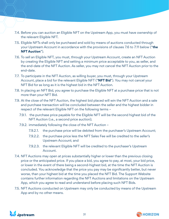- 7.4. Before you can auction an Eligible NFT on the Upstream App, you must have ownership of the relevant Eligible NFT.
- 7.5. Eligible NFTs shall only be purchased and sold by means of auctions conducted through your Upstream Account in accordance with the provisions of clauses 7.6 to 7.11 below ("**the NFT Auction**").
- 7.6. To sell an Eligible NFT, you must, through your Upstream Account, create an NFT Auction by creating the Eligible NFT and setting a minimum price acceptable to you, as seller, and the end-date of the NFT Auction. As seller, you may not cancel the NFT Auction prior to the end-date.
- 7.7. To participate in the NFT Auction, as willing buyer, you must, through your Upstream Account, place a bid for the relevant Eligible NFT ("**NFT Bid**"). You may not cancel your NFT Bid for as long as it is the highest bid in the NFT Auction.
- 7.8. In placing an NFT Bid, you agree to purchase the Eligible NFT at a purchase price that is not more than your NFT Bid.
- 7.9. At the close of the NFT Auction, the highest bid placed will win the NFT Auction and a sale and purchase transaction will be concluded between the seller and the highest bidder in respect of the relevant Eligible NFT on the following terms –
	- 7.9.1. the purchase price payable for the Eligible NFT will be the second highest bid of the NFT Auction (i.e., a second price auction);
	- 7.9.2. immediately following the close of the NFT Auction
		- 7.9.2.1. the purchase price will be debited from the purchaser's Upstream Account;
		- 7.9.2.2. the purchase price less the NFT Sales Fee will be credited to the seller's Upstream Account; and
		- 7.9.2.3. the relevant Eligible NFT will be credited to the purchaser's Upstream Account.
- 7.4. NFT Auctions may open at prices substantially higher or lower than the previous closing price or the anticipated price. If you place a bid, you agree to pay, at most, your bid price, or lower in the event of there being a second-highest bid, at the time the NFT Auction is concluded. You acknowledge that the price you pay may be significantly better, but never worse, than your highest bid at the time you placed the NFT Bid. The Support Website contains further information regarding the NFT Auctions and limitations on the Upstream App, which you agree to read and understand before placing such NFT Bids.
- 7.5. NFT Auctions conducted on Upstream may only be conducted by means of the Upstream App and by no other means.



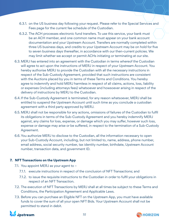- 6.3.1. on the US business day following your request. Please refer to the Special Services and Fees page for the current fee schedule of the Custodian.
- 6.3.2. The ACH processes electronic fund transfers. To use this service, your bank must be an ACH member, and one common name must appear on your bank account documentation and your Upstream Account. Transfers are normally completed within three US business days, and credits to your Upstream Account may be on hold for five to seven business days thereafter, in accordance with our then-current policies. We may limit whether we accept or permit ACHs initiating or terminating at our site.
- 6.3. MERJ has entered into an agreement with the Custodian in terms whereof the Custodian will agree to act upon the instructions of MERJ in respect of your Upstream Account. You hereby authorise MERJ to provide the Custodian with all the necessary instructions in respect of the Sub-Custody Agreement, provided that such instructions are consistent with the Auctions placed by you in terms of these Terms and Conditions. You hereby agree to indemnify and hold MERJ harmless in respect of all claims, actions, loss, liability or expenses (including attorneys fees) whatsoever and howsoever arising in respect of the delivery of instructions by MERJ to the Custodian.
- 6.4.If the Sub-Custody Agreement is terminated, for any reason whatsoever, MERJ shall be entitled to suspend the Upstream Account until such time as you conclude a custodian agreement with a third party approved by MERJ.
- 6.5. MERJ shall not be responsible for any actions, omissions of failures of the Custodian to fulfil its obligations in terms of the Sub-Custody Agreement and you hereby indemnify MERJ against, any claims for loss, expense, or damage which you may suffer, however such loss, expense or damage may arise or be suffered, in respect to the termination of a Sub-Custody Agreement.
- 6.6. You authorize MERJ to disclose to the Custodian, all the information necessary to open your Sub-Custody Account, including, but not limited to, name, address, phone number, email address, social security number, tax identity number, birthdate, Upstream Account number, transaction data, and government ID.

# **7. NFT Transactions on the Upstream App**

- 7.1. You appoint MERJ as your agent to
	- 7.1.1. execute instructions in respect of the conclusion of NFT Transactions; and
	- 7.1.2. to issue the requisite instructions to the Custodian in order to fulfil your obligations in respect of an NFT Transaction.
- 7.2. The execution of NFT Transactions by MERJ shall at all times be subject to these Terms and Conditions, the Participation Agreement and Applicable Laws.
- 7.3. Before you can purchase an Eligible NFT on the Upstream App, you must have available funds to cover the sum of all your open NFT Bids. Your Upstream Account shall not be permitted to stand in debit.



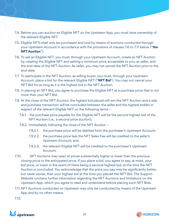- 7.4. Before you can auction an Eligible NFT on the Upstream App, you must have ownership of the relevant Eligible NFT.
- 7.5. Eligible NFTs shall only be purchased and sold by means of auctions conducted through your Upstream Account in accordance with the provisions of clauses 7.6 to 7.11 below ("**the NFT Auction**").
- 7.6. To sell an Eligible NFT, you must, through your Upstream Account, create an NFT Auction by creating the Eligible NFT and setting a minimum price acceptable to you, as seller, and the end-date of the NFT Auction. As seller, you may not cancel the NFT Auction prior to the end-date.
- 7.7. To participate in the NFT Auction, as willing buyer, you must, through your Upstream Account, place a bid for the relevant Eligible NFT ("**NFT Bid**"). You may not cancel your NFT Bid for as long as it is the highest bid in the NFT Auction.
- 7.8. In placing an NFT Bid, you agree to purchase the Eligible NFT at a purchase price that is not more than your NFT Bid.
- 7.9. At the close of the NFT Auction, the highest bid placed will win the NFT Auction and a sale and purchase transaction will be concluded between the seller and the highest bidder in respect of the relevant Eligible NFT on the following terms –
	- 7.9.1. the purchase price payable for the Eligible NFT will be the second highest bid of the NFT Auction (i.e., a second price auction);
	- 7.9.2. immediately following the close of the NFT Auction
		- 7.9.2.1. the purchase price will be debited from the purchaser's Upstream Account;
		- 7.9.2.2. the purchase price less the NFT Sales Fee will be credited to the seller's Upstream Account; and
		- 7.9.2.3. the relevant Eligible NFT will be credited to the purchaser's Upstream Account.
- 7.10. NFT Auctions may open at prices substantially higher or lower than the previous closing price or the anticipated price. If you place a bid, you agree to pay, at most, your bid price, or lower in the event of there being a second-highest bid, at the time the NFT Auction is concluded. You acknowledge that the price you pay may be significantly better, but never worse, than your highest bid at the time you placed the NFT Bid. The Support Website contains further information regarding the NFT Auctions and limitations on the Upstream App, which you agree to read and understand before placing such NFT Bids.
- 7.11.NFT Auctions conducted on Upstream may only be conducted by means of the Upstream App and by no other means.

7.12.



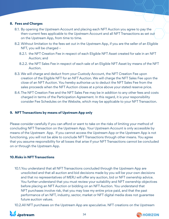#### **8. Fees and Charges**

- 8.1. By opening the Upstream Account and placing each NFT Auction you agree to pay the then-current fees applicable to the Upstream Account and all NFT Transactions as set out on the Upstream App, from time to time.
- 8.2. Without limitation to the fees set out in the Upstream App, if you are the seller of an Eligible NFT, you will be charged –
	- 8.2.1. the NFT Creation Fee in respect of each Eligible NFT Asset created for sale in an NFT Auction; and
	- 8.2.2. the NFT Sales Fee in respect of each sale of an Eligible NFT Asset by means of the NFT Auction.
- 8.3. We will charge and deduct from your Custody Account, the NFT Creation Fee upon creation of the Eligible NFT for an NFT Auction. We will charge the NFT Sales Fee upon the close of an NFT Auction. You hereby authorise us to deduct the NFT Sales Fee from the sales proceeds when the NFT Auction closes at a price above your stated reserve price.
- 8.4.The NFT Creation Fee and the NFT Sales Fee may be in addition to any other fees and costs charged in terms of the Participation Agreement. In this regard, it is your responsibility consider Fee Schedules on the Website, which may be applicable to your NFT Transaction.

### **9. NFT Transactions by means of Upstream App only**

Please consider carefully if you can afford or want to take on the risks of limiting your method of concluding NFT Transaction on the Upstream App. Your Upstream Account is only accessible by means of the Upstream App. If you cannot access the Upstream App or the Upstream App is not functioning, you will not be able to conclude NFT Transactions through other means. You agree that you assume responsibility for all losses that arise if your NFT Transactions cannot be concluded on or through the Upstream App.

#### **10.Risks in NFT Transactions**

10.1.You understand that all NFT Transactions concluded through the Upstream App are unsolicited and that all auction and bid decisions made by you will be your own decisions and that no representatives of MERJ will offer any auction, bid or NFT ownership advice. You further understand that you must review your suitability and NFT ownership objectives before placing an NFT Auction or bidding on an NFT Auction. You understand that NFT purchases involve risk, that you may lose my entire price paid, and that the past performance of an NFT, industry, sector, market or NFT digital media does not guarantee future auction values.

10.2.All NFT purchases on the Upstream App are speculative. NFT creations on the Upstream



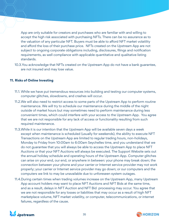App are only suitable for creators and purchases who are familiar with and willing to accept the high risk associated with purchasing NFTs. There can be no assurance as to the valuation of any particular NFT. Buyers must be able to afford NFT market volatility and afford the loss of their purchase price. NFTs created on the Upstream App are not subject to ongoing corporate obligations including, disclosures, filings and notification requirements, as well compliance with applicable quantitative and qualitative listing standards.

10.3.You acknowledge that NFTs created on the Upstream App do not have a bank guarantee, are not insured and may lose value.

#### **11. Risks of Online Investing**

- 11.1. While we have put tremendous resources into building and testing our computer systems, computer glitches, slowdowns, and crashes will occur.
- 11.2.We will also need to restrict access to some parts of the Upstream App to perform routine maintenance. We will try to schedule our maintenance during the middle of the night outside of market hours but may sometimes need to perform maintenance during less convenient times, which could interfere with your access to the Upstream App. You agree that we are not responsible for any lack of access or functionality resulting from such required maintenance.
- 11.3.While it is our intention that the Upstream App will be available seven days a week except when maintenance is scheduled (usually for weekends), the ability to execute NFT Transactions on the Upstream App are limited to regular trading hours, non-holidays, Monday to Friday from 10:00am to 6:00am Seychelles time, and you understand that we do not guarantee that you will always be able to access the Upstream App to place NFT Auctions or that your NFT Auctions will always be executed. The Support Website sets out the annual holiday schedule and operating hours of the Upstream App. Computer glitches can arise on your end, our end, or anywhere in between: your phone may break down; the connection between your phone and your carrier or Internet service provider may not work properly; your carrier or Internet service provider may go down; or our computers and the computers we link to may be unavailable due to unforeseen system outages.
- 11.4.During certain times when trading volumes increase on the Upstream App, many Upstream App account holders may want to place NFT Auctions and NFT Bids at the same time, and as a result, delays in NFT Auction and NFT Bid processing may occur. You agree that we are not responsible for any losses or liabilities that may occur as a result of high NFT marketplace volume, NFT market volatility, or computer, telecommunications, or internet failures, regardless of the cause.



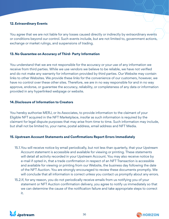#### **12.Extraordinary Events**

You agree that we are not liable for any losses caused directly or indirectly by extraordinary events or conditions beyond our control. Such events include, but are not limited to, government actions, exchange or market rulings, and suspensions of trading.

#### **13. No Guarantee on Accuracy of Third- Party Information**

You understand that we are not responsible for the accuracy or your use of any information we receive from third parties. While we use vendors we believe to be reliable, we have not verified and do not make any warranty for information provided by third parties. Our Website may contain links to other Websites. We provide these links for the convenience of our customers, however, we have no control over these other sites. Therefore, we are in no way responsible for and in no way approve, endorse, or guarantee the accuracy, reliability, or completeness of any data or information provided in any hyperlinked webpage or website.

#### **14.Disclosure of Information to Creators**

You hereby authorise MERJ, or its Associates, to provide information to the claimant of your Eligible NFT acquired in the NFT Marketplace, insofar as such information is required by the claimant for legal dispute purposes that may arise from time to time. Such information may include, but shall not be limited to, your name, postal address, email address and NFT Media.

### **15. Upstream Account Statements and Confirmations Report Errors Immediately**

- 15.1.You will receive notice by email periodically, but not less than quarterly, that your Upstream Account statement is accessible and available for viewing or printing. These statements will detail all activity recorded in your Upstream Account. You may also receive notice by e-mail if opted in, that a trade confirmation in respect of an NFT Transaction is accessible and available for viewing or printing from our Website, the business day following the date of the NFT Auction. You are strongly encouraged to review these documents promptly. We will conclude that all information is correct unless you contact us promptly about any errors.
- 15.2.If, for any reason, you do not periodically receive emails from us notifying you of your statement or NFT Auction confirmation delivery, you agree to notify us immediately so that we can determine the cause of the notification failure and take appropriate steps to correct it.



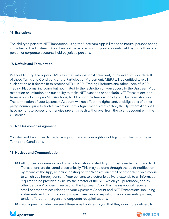# **16.Exclusions**

The ability to perform NFT Transaction using the Upstream App is limited to natural persons acting individually. The Upstream App does not make provision for joint accounts held by more than one person or corporate accounts held by juristic persons.

# **17. Default and Termination**

Without limiting the rights of MERJ in the Participation Agreement, in the event of your default of these Terms and Conditions or the Participation Agreement, MERJ will be entitled take all such action as it deems fit to protect MERJ, MERJ Trading Platforms and other users of MERJ Trading Platforms, including but not limited to the restriction of your access to the Upstream App, restriction or limitation on your ability to make NFT Auctions or conclude NFT Transactions, the termination of any open NFT Auctions, NFT Bids, or the termination of your Upstream Account. The termination of your Upstream Account will not affect the rights and/or obligations of either party incurred prior to such termination. If this Agreement is terminated, the Upstream App shall have no right to access or otherwise prevent a cash withdrawal from the User's account with the Custodian.

# **18.No Cession or Assignment**

You shall not be entitled to cede, assign, or transfer your rights or obligations in terms of these Terms and Conditions.

# **19. Notices and Communication**

19.1.All notices, documents, and other information related to your Upstream Account and NFT Transactions are delivered electronically. This may be done through the push-notification by means of the App, an online posting on the Website, an email or other electronic media to which you hereby consent. Your consent to electronic delivery extends to all information required to be provided by us, by the creator of the NFT which you purchased, and by other Service Providers in respect of the Upstream App. This means you will receive email or other notices relating to your Upstream Account and NFT Transactions, including statements and confirmations, prospectuses, annual reports, proxy statements, proxies, tender offers and mergers and corporate recapitalisations.

19.2.You agree that when we send these email notices to you that they constitute delivery to



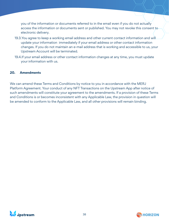you of the information or documents referred to in the email even if you do not actually access the information or documents sent or published. You may not revoke this consent to electronic delivery.

- 19.3.You agree to keep a working email address and other current contact information and will update your information immediately if your email address or other contact information changes. If you do not maintain an e-mail address that is working and accessible to us, your Upstream Account will be terminated.
- 19.4.If your email address or other contact information changes at any time, you must update your information with us.

# **20. Amendments**

We can amend these Terms and Conditions by notice to you in accordance with the MERJ Platform Agreement. Your conduct of any NFT Transactions on the Upstream App after notice of such amendments will constitute your agreement to the amendments. If a provision of these Terms and Conditions is or becomes inconsistent with any Applicable Law, the provision in question will be amended to conform to the Applicable Law, and all other provisions will remain binding.



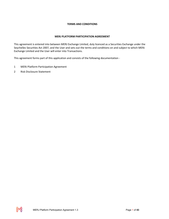# **TERMS AND CONDITIONS**

# **MERJ PLATFORM PARTICIPATION AGREEMENT**

This agreement is entered into between MERJ Exchange Limited, duly licenced as a Securities Exchange under the Seychelles Securities Act 2007, and the User and sets out the terms and conditions on and subject to which MERJ Exchange Limited and the User will enter into Transactions.

This agreement forms part of this application and consists of the following documentation -

- 1 MERJ Platform Participation Agreement
- 2 Risk Disclosure Statement

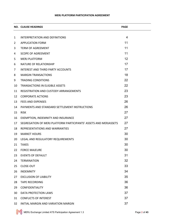# **MERJ PLATFORM PARTICIPATION AGREEMENT**

|                | <b>NO. CLAUSE HEADINGS</b>                                       | <b>PAGE</b> |
|----------------|------------------------------------------------------------------|-------------|
|                |                                                                  |             |
| 1              | INTERPRETATION AND DEFINITIONS                                   | 4           |
| $\overline{2}$ | <b>APPLICATION FORM</b>                                          | 11          |
| 3              | <b>TERM OF AGREEMENT</b>                                         | 11          |
| 4              | <b>SCOPE OF AGREEMENT</b>                                        | 11          |
| 5              | <b>MERJ PLATFORM</b>                                             | 12          |
| 6              | NATURE OF RELATIONSHIP                                           | 17          |
| 7              | <b>INTEREST AND THIRD PARTY ACCOUNTS</b>                         | 17          |
| 8              | <b>MARGIN TRANSACTIONS</b>                                       | 18          |
| 9              | <b>TRADING CONDITIONS</b>                                        | 22          |
| 10             | <b>TRANSACTIONS IN ELIGIBLE ASSETS</b>                           | 22          |
| 11             | REGISTRATION AND CUSTODY ARRANGEMENTS                            | 23          |
| 12             | <b>CORPORATE ACTIONS</b>                                         | 23          |
| 13             | <b>FEES AND EXPENSES</b>                                         | 26          |
| 14             | PAYMENTS AND STANDARD SETTLEMENT INSTRUCTIONS                    | 26          |
| 15             | <b>RISK</b>                                                      | 27          |
| 16             | EXEMPTION, INDEMNITY AND INSURANCE                               | 27          |
| 17             | SEGREGATION OF MERJ PLATFORM PARTICIPANTS' ASSETS AND MERJASSETS | 27          |
| 18             | REPRESENTATIONS AND WARRANTIES                                   | 27          |
| 19             | <b>MARKET HOURS</b>                                              | 30          |
| 20             | LEGAL AND REGULATORY REQUIREMENTS                                | 30          |
| 21             | <b>TAXES</b>                                                     | 30          |
| 22             | <b>FORCE MAJEURE</b>                                             | 30          |
| 23             | <b>EVENTS OF DEFAULT</b>                                         | 31          |
| 24             | <b>TERMINATION</b>                                               | 32          |
| 25             | CLOSE-OUT                                                        | 33          |
| 26             | <b>INDEMNITY</b>                                                 | 34          |
| 27             | <b>EXCLUSION OF LIABILITY</b>                                    | 35          |
| 28             | <b>TAPE RECORDING</b>                                            | 36          |
| 29             | <b>CONFIDENTIALITY</b>                                           | 36          |
| 30             | DATA PROTECTION LAWS                                             | 37          |
| 31             | <b>CONFLICTS OF INTEREST</b>                                     | 37          |
| 32             | INITIAL MARGIN AND VARIATION MARGIN                              | 37          |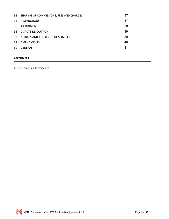| 33  | SHARING OF COMMISSIONS, FEES AND CHARGES | 37 |
|-----|------------------------------------------|----|
| 34  | <b>INSTRUCTIONS</b>                      | 37 |
| 35. | ASSIGNMENT                               | 38 |
| 36. | <b>DISPUTE RESOLUTION</b>                | 39 |
| 37  | NOTICES AND ADDRESSES OF SERVICES        | 39 |
| 38  | AMENDMENTS                               | 40 |
| 39  | GENERAL                                  | 41 |
|     |                                          |    |

# **APPENDICES**

RISK DISCLOSURE STATEMENT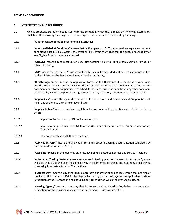#### **TERMS AND CONDITIONS**

#### **1 INTERPRETATION AND DEFINITIONS**

- 1.1 Unless otherwise stated or inconsistent with the context in which they appear, the following expressions shall bear the following meanings and cognate expressions shall bear corresponding meanings -
- 1.1.1 **"APIs"** means Application Programming Interfaces;
- 1.1.2 "**Abnormal Market Conditions**" means that, in the opinion of MERJ, abnormal, emergency or unusual conditions exist in Eligible Assets, the effect or likely effect of which is that the prices or availability of any Eligible Asset is materially affected;
- 1.1.3 "**Account**" means a funds account or securities account held with MERJ, a bank, Service Provider or other third party;
- 1.1.4 **''Act''** means the Seychelles Securities Act, 2007 as may be amended and any regulation prescribed by the Minister or the Seychelles Financial Services Authority;
- 1.1.5 "**the/this Agreement**" means the Application Form, the Risk Disclosure Statement, the Privacy Policy and the Fee Schedules per the website, the Rules and the terms and conditions as set out in this document and all other Appendices and schedules to these terms and conditions, any other document expressed by MERJ to be part of this Agreement and any variation, novation or replacement of it;
- 1.1.6 "**Appendices**" means the appendices attached to these terms and conditions and "**Appendix**" shall mean any of them as the context may indicate;
- 1.1.7 "**Applicable Law**" includes each law, regulation, by-law, code, notice, directive and order in Seychelles which -
- 1.1.7.1 applies to the conduct by MERJ of its business; or
- 1.1.7.2 applies to the performance by MERJ or the User of its obligations under this Agreement or any Transaction; or
- 1.1.7.3 otherwise applies to MERJ or to the User;
- 1.1.8 "**Application Form**" means the application form and account opening documentation completed by the User and submitted to MERJ;
- 1.1.9 "**Associate**" means, in the case of MERJ only, each of its Related Companies and Service Providers;
- 1.1.10 "**Automated Trading System**" means an electronic trading platform referred to in clause 5, made available by MERJ to the User, including by way of the Internet, for the purposes, among other things, of entering into certain types of Transactions;
- 1.1.11 "**Business Day**" means a day other than a Saturday, Sunday or public holiday within the meaning of the Public Holidays Act 1976 in the Seychelles or any public holidays in the applicable offshore jurisdiction of the Transaction and excluding any other day on which the Exchange is closed;
- 1.1.12 "**Clearing Agency**" means a company that is licensed and regulated in Seychelles or a recognized jurisdiction for the provision of clearing and settlement services of securities;

;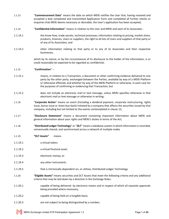- 1.1.13 "**Commencement Date**" means the date on which MERJ notifies the User that, having received and accepted a duly completed and transmitted Application Form and completed all further checks or enquiries that MERJ deems necessary or desirable, the User's application has been accepted;
- 1.1.14 "**Confidential Information**" means in relation to the User and MERJ and each of its Associates -
- 1.1.14.1 the know-how, trade secrets, technical processes, information relating to pricing, market share, products, finances, Users or suppliers, the right to all lists of Users and suppliers of that party or of any of its Associates; and
- 1.1.14.2 other information relating to that party or to any of its Associates and their respective businesses,

which by its nature, or by the circumstances of its disclosure to the holder of the information, is or could reasonably be expected to be regarded as confidential;

- 1.1.15 "**Confirmation**" –
- 1.1.15.1 means, in relation to a Transaction, a document or other confirming evidence delivered to one party by the other party, exchanged between the Parties, available by way of a MERJ Platform or otherwise effected, and whether by way of the MERJ Platform or otherwise, in each case for the purposes of confirming or evidencing that Transaction; but
- 1.1.15.2 does not include an electronic mail or text message, unless MERJ specifies otherwise in that electronic mail or text message or otherwise in writing;
- 1.1.16 "**Corporate Action**" means an event (including a dividend payment, corporate restructuring, rights issue, bonus issue or share buy-back) initiated by a company that affects the securities issued by that company, including but not limited to the events contemplated in clause 12;
- 1.1.17 "**Disclosure Statement**" means a document containing important information about MERJ and general information about your rights and MERJ's duties in terms of the Act;
- 1.1.18 "**Distributed Ledger Technology**" or "**DLT**" means a database system in which information is recorded, consensually shared, and synchronised across a network of multiple nodes
- 1.1.19 **"DLT Assets"** means
- 1.1.19.1 a virtual token;
- 1.1.19.2 a virtual financial asset;
- 1.1.19.3 electronic money; or
- 1.1.19.4 any other instruments
- 1.1.19.5 that is intrinsically dependent on, or utilises, Distributed Ledger Technology
- 1.1.20 **"Eligible Assets"** means securities and DLT Assets that meet the following criteria and any additional criteria that may be laid down by a directive in the Exchange Rules:
- 1.1.20.1 capable of being delivered by electronic means and in respect of which all requisite approvals being provided where necessary;
- 1.1.20.2 capable of being held on a fungible basis;
- 1.1.20.3 are not subject to being distinguished by a number;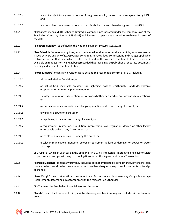- 1.1.20.4 are not subject to any restrictions on foreign ownership, unless otherwise agreed to by MERJ and
- 1.1.20.5 are not subject to any restrictions on transferability , unless otherwise agreed to by MERJ.
- 1.1.21 "**Exchange**" means MERJ Exchange Limited, a company incorporated under the company laws of the Seychelles (Company Number 879858-1) and licensed to operate as a securities exchange in terms of the Act;
- 1.1.22 "**Electronic Money**'' as defined in the National Payment Systems Act, 2014;
- 1.1.23 "**Fee Schedule**" means, at any time, any schedule, addendum or other document, by whatever name, issued by MERJ and any of its Associates containing its rates, fees, commissions and charges applicable to Transactions at that time, which is either published on the Website from time to time or otherwise available on request from MERJ, it being recorded that these may be published as separate documents or a single document from time to time;
- 1.1.24 "**Force Majeure**" means any event or cause beyond the reasonable control of MERJ, including -
- 1.1.24.1 Abnormal Market Conditions; or
- 1.1.24.2 an act of God, inevitable accident, fire, lightning, cyclone, earthquake, landslide, volcanic eruption or other natural phenomenon; or
- 1.1.24.3 sabotage, revolution, insurrection, act of war (whether declared or not) or war-like operations; or
- 1.1.24.4 a confiscation or expropriation, embargo, quarantine restriction or any like event; or
- 1.1.24.5 any strike, dispute or lockout; or
- 1.1.24.6 an epidemic, toxic emission or any like event; or
- 1.1.24.7 a requirement, restriction, prohibition, intervention, law, regulation, decree or other legally enforceable order of any Government; or
- 1.1.24.8 an explosion, nuclear accident or any like event; or
- 1.1.24.9 a telecommunications, network, power or equipment failure or damage, or power or water shortage,

as a result of which, in each case in the opinion of MERJ, it is impossible, impractical or illegal for MERJ to perform and comply with any of its obligations under this Agreement or any Transaction;

- 1.1.25 "**Foreign Exchange**" means any currency including but not limited to bills of exchange, letters of credit, money order, postal order, promissory note, travellers cheque or any other instruments of foreign exchange;
- 1.1.26 "**Free Margin**" means, at any time, the amount in an Account available to meet any Margin Percentage Requirement, determined in accordance with the relevant Fee Schedule;
- 1.1.27 "**FSA**" means the Seychelles Financial Services Authority;
- 1.1.28 "**Funds**" means banknotes and coins, scriptural money, electronic money and includes virtual financial assets;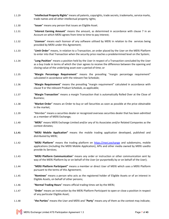- 1.1.29 "**Intellectual Property Rights**" means all patents, copyrights, trade secrets, trademarks, service marks, trade names and all other intellectual property rights;
- 1.1.30 "**Issuer**" means any person that issues an Eligible Asset.
- 1.1.31 "**Interest Earning Amount**" means the amount, as determined in accordance with clause 7 in an Account on which MERJ agrees from time to time to pay interest;
- 1.1.32 "**Licensor**" means each licensor of any software utilised by MERJ in relation to the services being provided by MERJ under this Agreement;
- 1.1.33 "**Limit Order**" means, in relation to a Transaction, an order placed by the User on the MERJ Platform to enter into that Transaction when the security price reaches a predetermined level on the System;
- 1.1.34 "**Long Position**" means a position held by the User in respect of a Transaction concluded by the User as a buy trade in terms of which the User agrees to receive the difference between the opening and closing value of the underlying asset over a period of time; or
- 1.1.35 "**Margin Percentage Requirement**" means the prevailing "margin percentage requirement" calculated in accordance with the relevant Fee Schedule;
- 1.1.36 "**Margin Requirement**" means the prevailing "margin requirement" calculated in accordance with clause 9 or the relevant Product Schedule, as applicable;
- 1.1.37 "**Margin Transaction**" means a margin Transaction that is automatically Rolled Over at the Close of Business;
- 1.1.38 "**Market Order**" means an Order to buy or sell Securities as soon as possible at the price obtainable in the market;
- 1.1.39 "Member" means a securities dealer or recognized overseas securities dealer that has been admitted as a member of MERJ Exchange;
- 1.1.40 "**MERJ**" means MERJ Exchange Limited and/or any of its Associates and/or Related Companies as the context dictates;
- **1.1.41 "MERJ Mobile Application"** means the mobile trading application developed, published and distributed by MERJ;
- 1.1.42 "**MERJ Platform**" means the trading platform on https://merj.exchange and subdomains, mobile applications (including the MERJ Mobile Application), APIs and other media owned by MERJ usedto provide its Services;
- 1.1.43 "**MERJ Platform Communication**" means any order or instruction or other communication sent by way of the MERJ Platform by or on behalf of the User (or purportedly by or on behalf of the User);
- 1.1.44 '**'MERJ Platform Participant''** means a member or direct User of MERJ which uses a MERJ Platform pursuant to the terms of this Agreement;
- 1.1.45 "**Nominee**" means a person who acts as the registered holder of Eligible Assets or of an interest in Eligible Assets, on behalf of other persons;
- 1.1.46 "**Normal Trading Hours**" means official trading times set by the MERJ;
- 1.1.47 "**Order**" means an instruction by the MERJ Platform Participant to open or close a position in respect of any particular Eligible Asset;
- 1.1.48 "**the Parties**" means the User and MERJ and "**Party**" means any of them as the context may indicate;

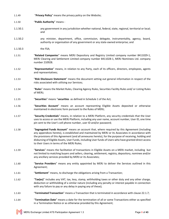- 1.1.49 "**Privacy Policy**" means the privacy policy on the Website;
- 1.1.50 "**Public Authority**" means -
- 1.1.50.1 any government in any jurisdiction whether national, federal, state, regional, territorial or local; and
- 1.1.50.2 any minister, department, office, commission, delegate, instrumentality, agency, board, authority or organisation of any government or any state-owned enterprise; and
- 1.1.50.3 the FSA;
- 1.1.51 "**Related Companies**" means MERJ Depository and Registry Limited company number 8411029-1, MERJ Clearing and Settlement Limited company number 8411028-1, MERJ Nominees Ltd. company number 210928.
- 1.1.52 "**Representative**" means, in relation to any Party, each of its officers, directors, employees, agents and representatives;
- 1.1.53 "**Risk Disclosure Statement**" means the document setting out general information in respect of the risks associated with utilising our Services;
- 1.1.54 "**Rules**" means the Market Rules, Clearing Agency Rules, Securities Facility Rules and/ or Listing Rules of MERJ;
- 1.1.55 "**Securities**" means "**securities** as defined in Schedule 1 of the Act;
- 1.1.56 "**Securities Account**" means an account representing Eligible Assets deposited or otherwise maintained in electronic form pursuant to the Rules of MERJ;
- 1.1.57 "**Security Credentials**" means, in relation to a MERJ Platform, any security credentials that the User uses to access or use the MERJ Platform, including any user name, account number, User ID, one time pin sent to the User's cell phone number, user ID and/or password;
- 1.1.58 "**Segregated Funds Account**" means an account that, where required by this Agreement (including any appendices hereto), is established and maintained by MERJ or its Associates in accordance with the provisions of this Agreement (and all annexures hereto), for the purpose of receiving, holding and disbursing of Eligible Assets, User Funds, including User funds of Users who have granted direct access to their Users in terms of the MERJ Rules;
- 1.1.59 "**Services**" means the facilitation of transactions in Eligible Assets on a MERJ market, including but not limited to matching buyers and sellers, clearing, settlement, registry, depository, nominee and/or any ancillary services provided by MERJ or its Associates;
- 1.1.60 "**Service Providers**" means any entity appointed by MERJ to deliver the Services outlined in this Agreement;
- 1.1.61 "**Settlement**" means, to discharge the obligations arising from a Transaction;
- 1.1.62 "**Tax(es)**" includes any VAT, tax, levy, stamp, withholding taxes or other duty and any other charge, deduction or withholding of a similar nature (including any penalty or interest payable in connection with any failure to pay or any delay in paying any of these);
- 1.1.63 "**Terminated Transaction**" means a Transaction that is terminated in accordance with clause 22.1.7;
- 1.1.64 "**Termination Date**" means a date for the termination of all or some Transactions either as specified in a Termination Notice or as otherwise provided by this Agreement;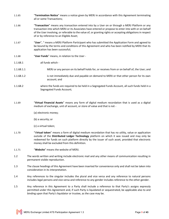- 1.1.65 "**Termination Notice**" means a notice given by MERJ in accordance with this Agreement terminating all or some Transactions;
- 1.1.66 "**Transaction**" means any transaction entered into by a User on or through a MERJ Platform or any transaction into which MERJ or its Associates have entered or propose to enter into with or on behalf of the User involving, or referable to the value of, or granting rights or accepting obligations in respect of or by reference to an Eligible Asset;
- 1.1.67 "**User**", " means a MERJ Platform Participant who has submitted the Application Form and agreed to be bound by the terms and conditions of this Agreement and who has been notified by MERJ that its application has been successful;
- 1.1.68 "**User Funds**" means, in relation to the User -
- 1.1.68.1 all funds which -
- 1.1.68.1.1 MERJ or any person on its behalf holds for, or receives from or on behalf of, the User; and
- 1.1.68.1.2 is not immediately due and payable on demand to MERJ or that other person for its own account; and
- 1.1.68.2 where the funds are required to be held in a Segregated Funds Account, all such funds held in a Segregated Funds Account;
- 1.1.69 "**Virtual Financial Assets**" means any form of digital medium recordation that is used as a digital medium of exchange, unit of account, or store of value and that is not -
	- (a) electronic money;
	- (b) a security; or
	- (c) a virtual token;
- 1.1.70 "V**irtual token**" means a form of digital medium recordation that has no utility, value or application outside of the **Distributed Ledger Technology** platform on which it was issued and may only be redeemed for funds on such platform directly by the issuer of such asset, provided that electronic money shall be excluded from this definition.
- 1.1.71 "**Website**" means the website of MERJ.
- 1.2 The words written and writing include electronic mail and any other means of communication resulting in permanent visible reproduction.
- 1.3 The clause headings of this Agreement have been inserted for convenience only and shall not be taken into consideration in its interpretation.
- 1.4 Any references to the singular includes the plural and vice versa and any reference to natural persons includes legal persons and vice versa and reference to any gender includes reference to the other gender.
- 1.5 Any reference in this Agreement to a Party shall include a reference to that Party's assigns expressly permitted under this Agreement and, if such Party is liquidated or sequestrated, be applicable also to and binding upon that Party's liquidator or trustee, as the case may be.

MERJ Exchange Limited ATS Participation Agreement 1.3 Page **9** of **43**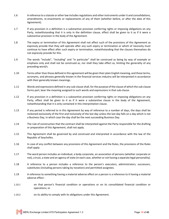- 1.6 A reference to a statute or other law includes regulations and other instruments under it and consolidations, amendments, re-enactments or replacements of any of them (whether before, or after the date of this Agreement).
- 1.7 If any provision in a definition is a substantive provision conferring rights or imposing obligations on any Party, notwithstanding that it is only in the definition clause, effect shall be given to it as if it were a substantive provision in the body of the Agreement.
- 1.8 The expiry or termination of this Agreement shall not affect such of the provisions of this Agreement as expressly provide that they will operate after any such expiry or termination or which of necessity must continue to have effect after such expiry or termination, notwithstanding that the clauses themselves do not expressly provide for this.
- 1.9 The words "include", "including" and "in particular" shall be construed as being by way of example or emphasis only and shall not be construed as, nor shall they take effect as, limiting the generality of any preceding word/s.
- 1.10 Terms other than those defined in this agreement will be given their plain English meaning, and those terms, acronyms, and phrases generally known in the financial services industry will be interpreted in accordance with their generally known meanings.
- 1.11 Words and expressions defined in any sub-clause shall, for the purpose of the clause of which the sub-clause forms part, bear the meaning assigned to such words and expressions in that sub-clause.
- 1.12 If any provision in a definition is a substantive provision conferring rights or imposing obligations on any Party, effect shall be given to it as if it were a substantive clause in the body of the Agreement, notwithstanding that it is only contained in this interpretation clause.
- 1.13 If any period is referred to in this Agreement by way of reference to a number of days, the days shall be reckoned exclusively of the first and inclusively of the last day unless the last day falls on a day which is not a Business Day, in which case the day shall be the next succeeding Business Day.
- 1.14 The rule of construction that the contract shall be interpreted against the Party responsible for the drafting or preparation of this Agreement, shall not apply.
- 1.15 This Agreement shall be governed by and construed and interpreted in accordance with the law of the Republic of Seychelles.
- 1.16 In case of any conflict between any provisions of this Agreement and the Rules, the provisions of the Rules shall apply.
- 1.17 The word person includes an individual, a body corporate, an association of persons (whether corporate or not), a trust, a state and an agency of state (in each case, whether or not having a separate legal personality).
- 1.18 A reference to a person includes a reference to the person's executors, administrators, successors, substitutes (including persons taking by novation) and permitted assignees.
- 1.19 A reference to something having a material adverse effect on a person is a reference to it having a material adverse effect -
- 1.19.1 on that person's financial condition or operations or on its consolidated financial condition or operations; or
- 1.19.2 on its ability to comply with its obligations under this Agreement.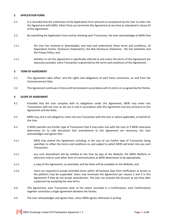## **2 APPLICATION FORM**

-

- 2.1 It is recorded that the submission of the Application Form amounts to acceptance by the User to enter into this Agreement with MERJ. Either Party can terminate this Agreement at any time as stipulated in clause 24 of this Agreement.
- 2.2 By submitting the Application Form and by initiating each Transaction, the User acknowledges to MERJ that
- 2.2.1 the User has received or downloaded, and read and understood, these terms and conditions, all Appendices hereto, Disclosure Statement/s, the Risk Disclosure Statement, the Fee Schedules and the Privacy Policy; and
- 2.2.2 whether or not this Agreement is specifically referred to and unless the terms of this Agreement are expressly excluded, every Transaction is governed by the terms and conditions of this Agreement.

# **3 TERM OF AGREEMENT**

- 3.1 This Agreement takes effect, and the rights and obligations of each Party commence, on and from the Commencement Date.
- 3.2 This Agreement continues in force until terminated in accordance with its terms or as agreed by the Parties.

#### **4 SCOPE OF AGREEMENT**

- 4.1 Provided that the User complies with its obligations under this Agreement, MERJ may enter into Transactions with the User as set out in and in accordance with this Agreement and any annexure to this Agreement and the Rules.
- 4.2 MERJ may, but is not obliged to, enter into any Transaction with the User or where applicable, on behalf of, the User.
- 4.3 If MERJ specifies any further type of Transaction that it may enter into with the User or if MERJ otherwise determines (in its sole discretion) that amendments to this Agreement are necessary, the User acknowledges and agrees that -
- 4.3.1 MERJ may amend this Agreement including, in the case of any further type of Transaction being specified, to reflect the terms and conditions on and subject to which MERJ will enter into any such Transaction;
- 4.3.2 any such amendment will be notified to the User by way of the Website, the MERJ Platform or electronic mail or such other form of communication as MERJ determines to be appropriate;
- 4.3.3 a copy of this Agreement, as amended, and the Rules will be available on the Website; and
- 4.3.4 Users are required to accept amended terms within 30 business days from notification or access to the platform may be suspended. Users may terminate the Agreement per clauses 2 and 3 in this Agreement if they do not accept amendments. The User can activate the Account at any time after suspension by accepting the new terms.
- 4.4 This Agreement, each Transaction (and, to the extent recorded in a Confirmation, each Confirmation) together constitute a single agreement between the Parties.
- 4.5 The User acknowledges and agrees that, unless MERJ agrees otherwise in writing -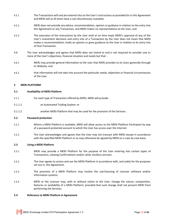- 4.5.1 The Transactions will only be entered into on the User's instructions as provided for in this Agreement and MERJ will at all times have a non-discretionary mandate;
- 4.5.2 MERJ does not provide any advice, recommendation, opinion or guidance in relation to the entry into this Agreement or any Transaction, and MERJ makes no representations to the User; and
- 4.5.3 The execution of the instructions by the User shall at no time imply MERJ's approval of any of the User's investment decisions and entry into of a Transaction by the User does not mean that MERJ makes a recommendation, holds an opinion or gives guidance to the User in relation to its entry into of that Transaction.
- 4.6 The User acknowledges and agrees that MERJ does not intend to and is not required to consider one or more of the User's objectives, financial situation and needs but that -
- 4.6.1 MERJ may provide general information to the User that MERJ provides to its Users generally through its Website; and
- 4.6.2 that information will not take into account the particular needs, objectives or financial circumstances of the User.

## **5 MERJ PLATFORM**

## **5.1 Availability of MERJ Platform**

- 5.1.1 For each type of Transaction offered by MERJ, MERJ will provide -
- 5.1.1.1 an Automated Trading System; or
- 5.1.1.2 another MERJ Platform that may be used for the provision of the Services.

#### **5.2 Password-protection**

- 5.2.1 Where a MERJ Platform is available, MERJ will allow access to the MERJ Platform Participant by way of a password-protected account to which the User has access over the Internet.
- 5.2.2 The User acknowledges and agrees that the User may not transact with MERJ except in accordance with the specified MERJ Platform or as may otherwise be agreed by MERJ on a case by case basis.

#### **5.3 Using a MERJ Platform**

- 5.3.1 MERJ may provide a MERJ Platform for the purpose of the User entering into certain types of Transactions, viewing Confirmations and/or other ancillary services.
- 5.3.2 The User agrees to access and use the MERJ Platform in accordance with, and solely for the purposes set out in, this Agreement.
- 5.3.3 The provision of a MERJ Platform may involve the sub-licensing of Licensor software and/or information systems.
- 5.3.4 MERJ or the Licensor may, with or without notice to the User, change the nature, composition, features or availability of a MERJ Platform, provided that such change shall not prevent MERJ from performing the Services.

#### **5.4 Reference to MERJ Platform in Agreement**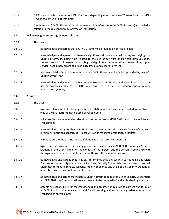- 5.4.1 MERJ may provide one or more MERJ Platforms depending upon the type of Transactions that MERJ is willing to enter into at that time.
- 5.4.2 A reference to " MERJ Platform" in this Agreement is a reference to the MERJ Platform(s) provided in relation to the relevant Service or type of Transaction.

#### **5.5 Acknowledgments and agreements of User**

- 5.5.1 The User -
- 5.5.1.1 acknowledges and agrees that any MERJ Platform is provided on an "as is" basis;
- 5.5.1.2 acknowledges and agrees that there are significant risks associated with using and relying on a MERJ Platform, including risks related to the use of software and/or telecommunications systems, such as software errors and bugs, delays in telecommunications systems, interrupted service, data supply errors, faults or inaccuracies and security breaches;
- 5.5.1.3 assumes all risk of use or attempted use of a MERJ Platform and any data provided by way of a MERJ Platform; and
- 5.5.1.4 acknowledges and agrees that it has no recourse against MERJ or any Licensor in relation to the use or availability of a MERJ Platform or any errors in Licensor software and/or related information systems;

#### **5.6 Security**

- 5.6.1 The User -
- 5.6.1.1 assumes full responsibility for any decision in relation to which any data provided to the User by way of a MERJ Platform may be used or relied upon;
- 5.6.1.2 will make its own independent decision to access or use a MERJ Platform or to enter into any Transaction;
- 5.6.1.3 acknowledges and agrees that no MERJ Platform serves as the primary basis for any of the User's investment decisions concerning its accounts or its managed or fiduciary accounts;
- 5.6.1.4 agrees to ensure the security and confidentiality of all Security Credentials;
- 5.6.1.5 agrees and acknowledges that, if any person accesses or uses a MERJ Platform using a Security Credential, the User is liable for the conduct of that person and the person's compliance with this Agreement, whether or not the User authorises the access and/or use;
- 5.6.1.6 acknowledges and agrees that, if MERJ determines that the security surrounding any MERJ Platform or the security or confidentiality of any Security Credentials is or has been breached, MERJ may terminate, revoke, suspend, modify or change any or all of the Security Credentials at any time with or without prior notice; and
- 5.6.1.7 acknowledges and agrees that where a MERJ Platform requires the use of Security Credentials, all MERJ Platform Communications are deemed to be on behalf of and authorised by the User;
- 5.6.1.8 accepts all responsibility for the genuineness and accuracy, in relation to content and form, of all MERJ Platform Communications and for all resulting actions, including orders entered and Transactions entered into;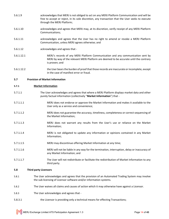- 5.6.1.9 acknowledges that MERJ is not obliged to act on any MERJ Platform Communication and will be free to accept or reject, in its sole discretion, any transaction that the User seeks to execute through the MERJ Platform;
- 5.6.1.10 acknowledges and agrees that MERJ may, at its discretion, verify receipt of any MERJ Platform Communications;
- 5.6.1.11 **and acknowledges and agrees that the User has no right to amend or revoke a MERJ Platform** Communication, unless MERJ agrees otherwise; and
- 5.6.1.12 acknowledges and agrees that -
- 5.6.1.12.1 MERJ's records of any MERJ Platform Communication and any communication sent by MERJ by way of the relevant MERJ Platform are deemed to be accurate until the contrary is proven; and
- 5.6.1.12.2 the User bears the burden of proof that those records are inaccurate or incomplete, except in the case of manifest error or fraud.

# **5.7 Provision of Market Information**

## **5.7.1 Market Information**

- 5.7.1.1 The User acknowledges and agrees that where a MERJ Platform displays market data and other purely factual information (collectively "**Market Information**") that -
- 5.7.1.1.1 MERJ does not endorse or approve the Market Information and makes it available to the User only as a service and convenience;
- 5.7.1.1.2 MERJ does not guarantee the accuracy, timeliness, completeness or correct sequencing of the Market Information;
- 5.7.1.1.3 MERJ does not warrant any results from the User's use or reliance on the Market Information;
- 5.7.1.1.4 MERJ is not obligated to update any information or opinions contained in any Market Information;
- 5.7.1.1.5 MERJ may discontinue offering Market Information at any time;
- 5.7.1.1.6 MERJ will not be liable in any way for the termination, interruption, delay or inaccuracy of any Market Information; and
- 5.7.1.1.7 The User will not redistribute or facilitate the redistribution of Market Information to any third party.

## **5.8 Third party Licensors**

- 5.8.1 The User acknowledges and agrees that the provision of an Automated Trading System may involve the sub-licensing of Licensor software and/or information systems.
- 5.8.2 The User waives all claims and causes of action which it may otherwise have against a Licensor.
- 5.8.3 The User acknowledges and agrees that -
- 5.8.3.1 the Licensor is providing only a technical means for effecting Transactions;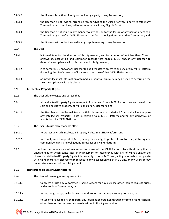- 5.8.3.2 the Licensor is neither directly nor indirectly a party to any Transaction;
- 5.8.3.3 the Licensor is not inviting, arranging for, or advising the User or any third party to effect any Transaction or to purchase, sell or otherwise deal in any Eligible Asset;
- 5.8.3.4 the Licensor is not liable in any manner to any person for the failure of any person effecting a Transaction by way of an MERJ Platform to perform its obligations under that Transaction; and
- 5.8.3.5 the Licensor will not be involved in any dispute relating to any Transaction.
- 5.8.4 The User -
- 5.8.4.1 is to maintain, for the duration of this Agreement, and for a period of, not less than, 7 years afterwards, accounting and computer records that enable MERJ and/or any Licensor to determine compliance with this clause and this Agreement;
- 5.8.4.2 is to permit MERJ and/or any Licensor to audit the User's access to and use of any MERJ Platform (including the User's records of its access to and use of that MERJ Platform); and
- 5.8.4.3 acknowledges that information obtained pursuant to this clause may be used to determine the User's compliance with this clause.

## **5.9 Intellectual Property Rights**

- 5.9.1 The User acknowledges and agrees that -
- 5.9.1.1 all Intellectual Property Rights in respect of or derived from a MERJ Platform are and remain the sole and exclusive property of MERJ and/or any Licensors; and
- 5.9.1.2 the User has no Intellectual Property Rights in respect of or derived from and will not acquire any Intellectual Property Rights in relation to a MERJ Platform and/or any derivative or adaptation of a MERJ Platform.
- 5.9.2 The User is to use all reasonable efforts -
- 5.9.2.1 to protect any such Intellectual Property Rights in a MERJ Platform; and
- 5.9.2.2 to comply with a request of MERJ, acting reasonably, to protect its contractual, statutory and common law rights and obligations in respect of a MERJ Platform.
- 5.9.3 If the User becomes aware of any access to or use of the MERJ Platform by a third party that is unauthorised or which constitutes an infringement or interference with any of MERJ's and/or the Licensor's Intellectual Property Rights, it is promptly to notify MERJ and, acting reasonably, co-operate with MERJ and/or any Licensor with respect to any legal action which MERJ and/or any Licensor may undertake in respect of the infringement.

## **5.10 Restrictions on use of MERJ Platform**

- 5.10.1 The User acknowledges and agrees not -
- 5.10.1.1 to access or use any Automated Trading System for any purpose other than to request prices and enter into Transactions; or
- 5.10.1.2 to use, copy, merge, make derivative works of or transfer copies of any software; or
- 5.10.1.3 to use or disclose to any third party any information obtained through or from a MERJ Platform other than for the purposes expressly set out in this Agreement; or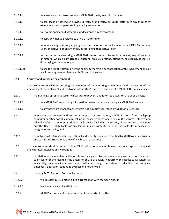- 5.10.1.4 to allow any access to or use of an MERJ Platform by any third party; or
- 5.10.1.5 to sell, lease or otherwise provide, directly or indirectly, an MERJ Platform to any third party except as expressly permitted by this Agreement; or
- 5.10.1.6 to reverse engineer, disassemble or decompile any software; or
- 5.10.1.7 to copy any manuals related to a MERJ Platform; or
- 5.10.1.8 to remove any statutory copyright notice, or other notice included in a MERJ Platform or Licensor software or on any medium containing that software; or
- 5.10.1.9 to transmit or receive using a MERJ Platform (or cause to transmit or receive) any information or material which is pornographic, obscene, abusive, profane, offensive, misleading, deceptive, disparaging or defamatory; or
- 5.10.1.10 to use the MERJ Platform after the expiry, termination or cancellation of this Agreement and/or any license agreement between MERJ and its Licensor.

## **5.11 Security and operating environment**

The User is responsible for ensuring the adequacy of the operating environment and the security of the environment, both physical and electronic, of the User's access to and use of a MERJ Platform, including -

- 5.11.1 maintaining appropriate security measures to prevent unauthorised access to, use of or damage
- 5.11.1.1 to a MERJ Platform and any information systems accessible through a MERJ Platform; and
- 5.11.1.2 to any password management system not explicitly controlled by MERJ or a Licensor;
- 5.11.2 where the User accesses and uses, or attempts to access and use, a MERJ Platform from any laptop computer or other portable device, taking all measures necessary to ensure the security, integrity and reliability of such computer or other portable device (including the security of the internet connection) and the User is solely liable for any failure in such computer or other portable device's security, integrity or reliability; and
- 5.11.3 complying with all reasonable operational and security procedures notified by MERJ from time to time and to inform MERJ immediately of any breach of security.
- 5.12 To the maximum extent permitted by law, MERJ makes no representation or warranty (express or implied) and expressly disclaims any warranties -
- 5.12.1 in relation to the merchantability or fitness for a particular purpose and any warranty for the access to or use of or the results of the access to or use of a MERJ Platform with respect to its suitability, availability, functionality, correctness, quality, accuracy, completeness, reliability, performance, timeliness, operation, continued availability or otherwise;
- 5.12.2 that any MERJ Platform Communication -
- 5.12.2.1 will result in MERJ entering into a Transaction with the User; and/or
- 5.12.2.2 has been received by MERJ; and
- 5.12.2.3 MERJ Platform meets the requirements or needs of the User.

MERJ Exchange Limited ATS Participation Agreement 1.3 Page **16** of **43**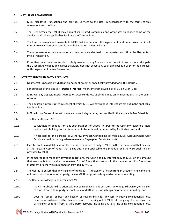## **6 NATURE OF RELATIONSHIP**

- 6.1 MERJ facilitates Transactions and provides Services to the User in accordance with the terms of this Agreement and the Rules.
- 6.2 The User agrees that MERJ may appoint its Related Companies and Associates to render some of the Services and, where applicable, facilitate the Transactions.
- 6.3 The User represents and warrants to MERJ that it enters into this Agreement, and undertakes that it will enter into each Transaction, on its own behalf or on its User's behalf.
- 6.4 The aforementioned representation and warranty are deemed to be repeated each time the User enters into a Transaction.
- 6.5 If the User nevertheless enters into this Agreement or any Transaction on behalf of one or more principals, the User acknowledges and agrees that MERJ does not accept any such principal as a User for the purposes of this Agreement or any Transaction.

## **7 INTEREST AND THIRD PARTY ACCOUNTS**

- 7.1 No interest is payable by MERJ on an Account except as specifically provided for in this clause 7.
- 7.2 For purposes of this clause 7 "**Deposit Interest**" means interest payable by MERJ on User Funds.
- 7.3 MERJ will pay Deposit Interest earned on User Funds less applicable fees on uninvested cash in the User's Account.
- 7.4 The applicable interest rates in respect of which MERJ will pay Deposit Interest are set out in the applicable Fee Schedule.
- 7.5 MERJ will pay Deposit Interest in arrears on such days as may be specified in the applicable Fee Schedule.
- 7.6 The User authorises MERJ -
- 7.6.1 to withhold or deduct from any such payment of Deposit Interest to the User any resident or nonresident withholding tax that is required to be withheld or deducted by Applicable Law; and
- 7.6.2 if necessary for this purpose, to withdraw any such withholding tax from a MERJ Account where User Funds are held (including, where relevant, a Segregated Funds Account).
- 7.7 If an Account has a debit balance, the User is to pay interest daily to MERJ on the full amount of that balance at the relevant Cost of Funds that is set out in the applicable Fee Schedule or otherwise published or provided by MERJ.
- 7.8 If the User fails to meet any payment obligations, the User is to pay interest daily to MERJ on the amount that was due but not paid at the relevant Cost of Funds that is set out in the then-current Risk Disclosure Statement or otherwise published or provided by MERJ.
- 7.9 The User is to ensure that any transfer of funds by it, is drawn on or made from an account in its name and not on or from that of another party, unless MERJ has previously agreed otherwise in writing.
- 7.10 The User acknowledges and agrees that MERJ -
- 7.10.1 may, in its absolute discretion, without being obliged to do so, return any cheque drawn on, or transfer of funds from, a third party account, unless MERJ has previously agreed otherwise in writing; and
- 7.10.2 does not accept or bear any liability or responsibility for any loss, including consequential loss, incurred or sustained by the User as a result of or arising out of MERJ returning any cheque drawn on, or transfer of funds from, a third party account, including any loss, including consequential loss,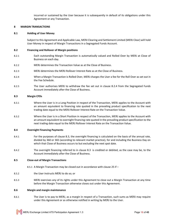incurred or sustained by the User because it is subsequently in default of its obligations under this Agreement or any Transaction.

#### **8 MARGIN TRANSACTIONS**

#### **8.1 Holding of User Money**

Subject to this Agreement and Applicable Law, MERJ Clearing and Settlement Limited (MERJ Clear) will hold User Money in respect of Margin Transactions in a Segregated Funds Account.

#### **8.2 Financing and Rollover of Margin positions**

- 8.2.1 Each outstanding Margin Transaction is automatically valued and Rolled Over by MERJ at Close of Business on each day.
- 8.2.2 MERJ determines the Transaction Value as at the Close of Business.
- 8.2.3 MERJ determines the MERJ Rollover Interest Rate as at the Close of Business.
- 8.2.4 When a Margin Transaction is Rolled Over, MERJ charges the User a fee for the Roll Over as set out in the Fee Schedule.
- 8.2.5 The User authorises MERJ to withdraw the fee set out in clause 8.2.4 from the Segregated Funds Account immediately after the Close of Business.

#### **8.3 Margin CFDs**

- 8.3.1 Where the User is in a Long Position in respect of the Transaction, MERJ applies to the Account with an amount equivalent to financing rate quoted in the prevailing product specification to the next trading date equal to the MERJ Rollover Interest Rate on the Transaction Value.
- 8.3.2 Where the User is in a Short Position in respect of the Transaction, MERJ applies to the Account with an amount equivalent to overnight financing rate quoted in the prevailing product specification to the next trading date equal to the MERJ Rollover Interest Rate on the Transaction Value.

#### **8.4 Overnight Financing Payments**

- 8.4.1 For the purposes of clause 8.3, the overnight financing is calculated on the basis of the annual rate, divided by 360 or 365 (according to relevant market practice), for and including the Business Day on which that Close of Business occurs to but excluding the next spot date.
- 8.4.2 The overnight financing referred to in clause 8.3 is credited or debited, as the case may be, to the Account immediately after the Close of Business.

#### **8.5 Close-out of Margin Transactions**

- 8.5.1 A Margin Transaction may be closed out in accordance with clause 25 if –
- 8.5.2 the User instructs MERJ to do so; or
- 8.5.3 MERJ exercises any of its rights under this Agreement to close out a Margin Transaction at any time before the Margin Transaction otherwise closes out under this Agreement.

#### **8.6 Margin and margin maintenance**

8.6.1 The User is to pay to MERJ, as a margin in respect of a Transaction, such sums as MERJ may require under this Agreement or as otherwise notified in writing by MERJ to the User.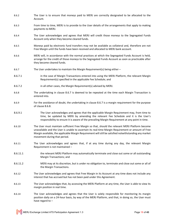8.6.2 The User is to ensure that moneys paid to MERJ are correctly designated to be allocated to the Account. 8.6.3 From time to time, MERJ is to provide to the User details of the arrangements that apply to making payments to MERJ. 8.6.4 The User acknowledges and agrees that MERJ will credit those moneys to the Segregated Funds Account only when they become cleared funds. 8.6.5 Moneys paid by electronic fund transfers may not be available as collateral and, therefore are not Free Margin until the funds have been received and allocated to MERJ bank account. 8.6.6 MERJ will, in accordance with the normal practices at which the Segregated Funds Account is held, arrange for the credit of those moneys to the Segregated Funds Account as soon as practicable after they become cleared funds. 8.6.7 The User undertakes to maintain the Margin Requirement(s) being either – 8.6.7.1 in the case of Margin Transactions entered into using the MERJ Platform, the relevant Margin Requirement(s) specified in the applicable Fee Schedule; and 8.6.7.2 in all other cases, the Margin Requirement(s) advised by MERJ. 8.6.8 The undertaking in clause 8.6.7 is deemed to be repeated at the time each Margin Transaction is entered into. 8.6.9 For the avoidance of doubt, the undertaking in clause 8.6.7 is a margin requirement for the purpose of clause 8.6.8. 8.6.9.1 The User acknowledges and agrees that the applicable Margin Requirement may, from time to time, be updated by MERJ by amending the relevant Fee Schedule and it is the User's responsibility to ensure it is aware of the prevailing Margin Requirement at any point in time. 8.6.10 The User must maintain sufficient Free Margin so that, should the relevant MERJ Platform become unavailable and the User is unable to ascertain its real-time Margin Requirement or amount of Free Margin available, the applicable Margin Requirement will still be satisfied notwithstanding any market movement during that period. 8.6.11 The User acknowledges and agrees that, if at any time during any day, the relevant Margin Requirement is not maintained – 8.6.11.1 the relevant MERJ Platform may automatically terminate and close out some or all outstanding Margin Transactions; and 8.6.11.2 MERJ may at its discretion, but is under no obligation to, terminate and close out some or all of the Margin Transactions. 8.6.12 The User acknowledges and agrees that Free Margin in its Account at any time does not include any interest that has accrued but has not been paid under this Agreement. 8.6.13 The User acknowledges that, by accessing the MERJ Platform at any time, the User is able to view its margin position in real time. 8.6.14 The User acknowledges and agrees that the User is solely responsible for monitoring its margin position daily on a 24-hour basis, by way of the MERJ Platform, and that, in doing so, the User must have regard to –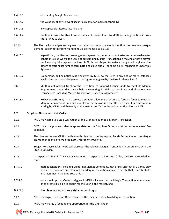- 8.6.14.1 outstanding Margin Transactions;
- 8.6.14.2 the volatility of any relevant securities market or markets generally;
- 8.6.14.3 any applicable interest rate risk; and
- 8.6.14.4 the time it takes the User to remit sufficient cleared funds to MERJ (including the time it takes those funds to clear).
- 8.6.15 The User acknowledges and agrees that under no circumstances is it entitled to receive a margin demand, call or notice from MERJ: (Should be changed to 8.6.16)
- 8.6.15.1 In particular, the User acknowledges and agrees that, whether or not extreme or unusual market conditions exist, where the value of outstanding Margin Transactions is moving or have moved particularly quickly against the User, MERJ is not obliged to make a margin call or give notice before exercising its right to terminate and close out all (or some only) Transactions under this Agreement.
- 8.6.15.2 No demand, call or notice made or given by MERJ to the User in any one or more instances invalidates the acknowledgement and agreement given by the User in clause 8.6.15.
- 8.6.15.3 MERJ is not obliged to allow the User time to forward further funds to meet its Margin Requirement under this clause before exercising its right to terminate and close out any Transactions (including Margin Transactions) under this Agreement.
- 8.6.15.4 However, MERJ may in its absolute discretion allow the User time to forward funds to meet its Margin Requirement, in which event that permission is only effective once it is confirmed in writing by MERJ, and then only to the extent specified in the written notice given by MERJ.

## **8.7 Stop Loss Orders and Limit Orders**

- 8.7.1 MERJ may agree to a Stop Loss Order by the User in relation to a Margin Transaction.
- 8.7.2 MERJ may charge a fee it deems appropriate for the Stop Loss Order, as set out in the relevant Fee Schedule.
- 8.7.3 The User authorises MERJ to withdraw this fee from the Segregated Funds Account when the Margin Transaction relating to the Stop Loss Order is entered into.
- 8.7.4 Subject to clause 8.7.5, MERJ will close out the relevant Margin Transaction in accordance with the Stop Loss Order.
- 8.7.5 In respect of a Margin Transaction concluded in respect of a Stop Loss Order, the User acknowledges that $-$
- 8.7.5.1 market conditions, including Abnormal Market Conditions, may arise such that MERJ may only be able to terminate and close out the Margin Transaction at a price or rate that is substantially less than that in the Stop Loss Order;
- 8.7.5.2 once the Stop Loss Order is triggered, MERJ will close out the Margin Transaction at whatever price or rate it is able to obtain for the User in the market, and
- 8.7.5.3 the User accepts these risks accordingly.
- 8.7.6 MERJ may agree to a Limit Order placed by the User in relation to a Margin Transaction.
- 8.7.7 MERJ may charge a fee it deems appropriate for the Limit Order.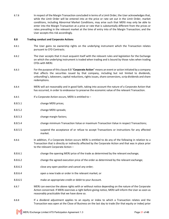8.7.8 In respect of the Margin Transaction concluded in terms of a Limit Order, the User acknowledges that, while the Limit Order will be entered into at the price or rate set out in the Limit Order, market conditions, including Abnormal Market Conditions, may arise such that MERJ may only be able to enter into the Margin Transaction at a price or rate that is substantially different from the prices or rates prevailing in the relevant market at the time of entry into of the Margin Transaction; and the User accepts this risk accordingly.

## **8.8 Trading conduct and Corporate Actions**

- 8.8.1 The User gains no ownership rights on the underlying instrument which the Transaction relates pursuant to CFD Contracts.
- 8.8.2 The User accepts that it must acquaint itself with the relevant rules and legislation for the Exchange on which the underlying instrument is traded when trading and is bound by those rules when trading CFDs with MERJ.
- 8.8.3 For the purpose of this clause 8.8 "**Corporate Action**" means an event or action initiated by a company that affects the securities issued by that company, including but not limited to dividends, unbundling's, takeovers, capital reductions, rights issues, share conversions, scrip dividends and share redemptions.
- 8.8.4 MERJ will act reasonably and in good faith, taking into account the nature of a Corporate Action that has occurred, in order to endeavour to preserve the economic value of the relevant Transaction.
- 8.8.5 If a Corporate Action occurs, MERJ is entitled to –
- 8.8.5.1 change MERJ prices;
- 8.8.5.2 change MERJ spreads;
- 8.8.5.3 change margin factors;
- 8.8.5.4 change minimum Transaction Value or maximum Transaction Value in respect Transactions;
- 8.8.5.5 suspend the acceptance of or refuse to accept Transactions or instructions for any affected market.
- 8.8.6 In addition, if a Corporate Action occurs MERJ is entitled to do any of the following in relation to a Transaction that is directly or indirectly affected by the Corporate Action and that was in place prior to the relevant Corporate Action –
- 8.8.6.1 change the opening MERJ price of the trade as determined by the relevant exchange;
- 8.8.6.2 change the agreed execution price of the order as determined by the relevant exchange;
- 8.8.6.3 close any open position and cancel any order;
- 8.8.6.4 open a new trade or order in the relevant market; or
- 8.8.6.5 make an appropriate credit or debit to your Account.
- 8.8.7 MERJ can exercise the above rights with or without notice depending on the nature of the Corporate Action concerned. If MERJ exercises a right before giving notice, MERJ will inform the User as soon as reasonably practicable that we have done so.
- 8.8.8 If a dividend adjustment applies to an equity or index to which a Transaction relates and the Transaction was open at the Close of Business on the last day to trade (for that equity or index) prior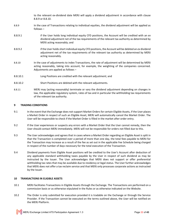to the relevant ex-dividend date MERJ will apply a dividend adjustment in accordance with clause 8.8.9 or 8.8.10.

- 8.8.9 In the case of Transactions relating to individual equities, the dividend adjustment will be applied as follows –
- 8.8.9.1 if the User holds long individual equity CFD positions, the Account will be credited with an *ex* dividend adjustment net of the tax requirements of the relevant tax authority as determined by MERJ acting reasonably; and
- 8.8.9.2 if the User holds short individual equity CFD positions, the Account will be debited an *ex* dividend adjustment net of the tax requirements of the relevant tax authority as determined by MERJ acting reasonably.
- 8.8.10 In the case of adjustments to index Transactions, the rate of adjustment will be determined by MERJ acting reasonably, taking into account, for example, the weighting of the companies concerned. Adjustments are applied as follows –
- 8.8.10.1 Long Positions are credited with the relevant adjustment; and
- 8.8.10.2 Short Positions are debited with the relevant adjustments.
- 8.8.11 MERJ may (acting reasonably) terminate or vary the dividend adjustment depending on changes in law, the applicable regulatory system, rates of tax and in particular the withholding tax requirements of the relevant tax authority.

#### **9 TRADING CONDITIONS**

- 9.1 In the event that the Exchange does not support Market Orders for certain Eligible Assets, if the User places a Market Order in respect of such an Eligible Asset, MERJ will automatically cancel the Market Order. The User will be responsible to check if the Market Order is filled in the market after order entry.
- 9.2 If the User experiences or suspects any errors with a Market Order that the User cannot remedy, then the User should contact MERJ immediately. MERJ will not be responsible for orders not filled due to this.
- 9.3 The User acknowledges and agrees that in cases where a Market Order regarding an Eligible Asset is split in that the Transaction is completed over a period of more than one day, the total fees payable to MERJ for the Transaction may increase as a result of the fee as set out in the applicable Fee Schedule being charged in respect of the number of days necessary for the total execution of the Transaction.
- 9.4 Dividend payments from Eligible Asset positions will be credited to the User's Account after deduction of any applicable standard withholding taxes payable by the User in respect of such dividend as may be instructed by the Issuer. The User acknowledges that MERJ does not support or offer preferential withholding tax rates that may be available due to residency or legal status. The User further acknowledges that MERJ does not offer a tax reclaim service and that MERJ only processes corporate actions as instructed by the Issuer.

#### **10 TRANSACTIONS IN ELIGIBLE ASSETS**

- 10.1 MERJ facilitates Transactions in Eligible Assets through the Exchange. The Transactions are performed on a commission basis or as otherwise stipulated in the Rules or as otherwise indicated on the Website.
- 10.2 The Order is only submitted for execution provided it is tradable on the Exchange or through the Service Provider. If the Transaction cannot be executed on the terms outlined above, the User will be notified on the MERJ Platform.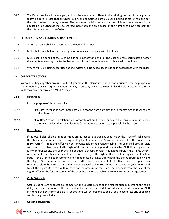10.3 The Order may be split or merged, and thus be executed at different prices during the day of trading or the following days. In case that an Order is split, and completed partially over a period of more than one day, the total trading costs may increase. The reason for such increase is that the minimum fee as set out in the applicable Fee Schedule may be charged more than one time based on the number of days necessary for the total execution of the Order.

## **11 REGISTRATION AND CUSTODY ARRANGEMENTS**

- 11.1 All Transactions shall be registered in the name of the User.
- 11.2 MERJ shall, on behalf of the User, open Accounts in accordance with the Rules.
- 11.3 MERJ shall, on behalf of the User, hold in safe custody on behalf of the User all share certificates or other documents evidencing title to the Transactions from time to time in accordance with the Rules.
- 11.4 Where MERJ is holding securities and DLT Assets as a Nominee, it shall do so in accordance with the Rules.

## **12 CORPORATE ACTIONS**

Without limiting any other provision of this Agreement, this clause sets out the consequences, for the purpose of this Agreement, of any Corporate Action taken by a company in which the User holds Eligible Assets either directly in its own name or through a MERJ Nominee.

## **12.1 Definitions**

For the purpose of this clause 12 –

- 12.1.1 "**Ex-Date**" means the date immediately prior to the date on which the Corporate Action is Scheduled to take place; and
- 12.1.2 "**Pay-Date**" means, in relation to a Corporate Action, the date on which the consideration in respect of the relevant Securities to which that Corporation Action relates is payable by the Issuer.

# **12.2 Rights Issues**

If the User holds Eligible Asset positions on the last date to trade as specified by the issuer of such shares, the User may receive an offer to acquire Eligible Assets or other Securities in respect of the issuer ("**the Rights Offer**"). The Rights Offer may be renounceable or non-renounceable. The User shall provide MERJ with a written instruction as to the Rights Offer within the time period specified by MERJ. If the Rights Offer is non-renounceable, the User shall be entitled to accept or reject the Rights Offer. If the Rights Offer is renounceable, the User shall be entitled to accept or reject the Rights Offer or sell the Rights Offer to a third party. If the User fails to respond to a non-renounceable Rights Offer within the period specified by MERJ, the Rights Offer may lapse and have no further force and effect. If the User fails to respond to a renounceable Rights Offer within the time period specified by MERJ, MERJ shall be entitled, but not obliged, to sell the Rights Offer to any third party for the account of the User. The proceeds from the sale of the Rights Offer will be for the account of the User less the fees payable to MERJ in terms of this Agreement.

# **12.3 Cash Dividends**

Cash dividends are allocated to the User on the Ex-date reflecting the market price movement on the Exdate, but the actual value of the payment will be settled on the date on which payment is made to MERJ. Dividend payments from Eligible Asset positions will be credited to the User's Account less any applicable withholding taxes deducted.

## **12.4 Optional Dividends**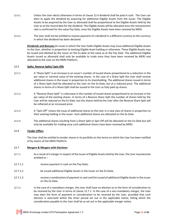- 12.4.1 Unless the User elects otherwise in terms of clause 12.4 dividend shall be paid in cash. The User can elect to apply the dividend by acquiring for additional Eligible Assets from the issuer. The Eligible Assets to be acquired by the User as aforesaid shall be proportional to the Eligible Assets held by the User as at the record date for the dividend. The Eligible Assets will be allocated once the reinvestment rate is confirmed for the value Pay Date, once the Eligible Assets have been received by MERJ.
- 12.4.2 The User shall not be entitled to receive payment of a dividend in a different currency to the currency in which the dividend has been declared.

**Dividends and Bonuses** An issuer in which the User holds Eligible Assets may issue additional Eligible Assets to the User, whether in proportion to existing Eligible Asset holding or otherwise. These Eligible Assets may be issued and allotted by the issuer on the Ex-date at the value as at the Pay Date. The additional Eligible Assets issued as aforesaid shall only be available to trade once they have been received by MERJ and allocated to the User on the MERJ Platform.

# **12.5 Splits, Reverse Splits/ Spin Offs**

- 12.5.1 A "Share Split" is an increase in an issuer's number of issued shares proportional to a reduction in the par value or nominal value of the existing shares. In the case of a Share Split the User shall receive additional shares in the issuer in proportion to its shareholding. The additional shares issued in terms of a Share Split shall be allocated to the User on the Ex-Date, but at a reduced price. The additional shares in terms of a Share Split shall be issued to the User as fully paid up shares.
- 12.5.2 A "Reverse Share Split" is a decrease in the number of issued shares proportional to an increase in the par value of the existing shares. In terms of a Reverse Share Split the number of shares held by the User will be reduced on the Ex-Date, but the shares held by the User after the Reverse Share Split will be reflected at an increased price.
- 12.5.3 A "Spin Off" means the issue of additional shares to the User in a new class of shares in proportion to their existing holding in the issuer. Such additional shares are allocated on the Ex-Date.
- 12.5.4 The additional shares resulting from a Share Split or Spin Off will be allocated on the Ex-Date but will only be available for trading once such additional shares have been received by MERJ.

## **12.6 Tender Offers**

The User shall be entitled to tender shares in its portfolio on the terms on which the User has been notified of by means of the MERJ Platform.

## **12.7 Mergers & Mergers with Elections**

- 12.7.1 As a result of a merger in respect of the issuer of Eligible Assets held by the User, the User may become entitled to –
- 12.7.1.1 receive payment in cash on the Pay-Date;
- 12.7.1.2 be issued additional Eligible Assets in the issuer on the Ex-Date;
- 12.7.1.3 receive a combination of payment in cash and the issued of additional Eligible Assets in the issuer on the Ex-Date.
- 12.7.2 In the case of a mandatory merger, the User shall have no election as to the form of consideration to be received by the User in terms of clause 12.7.1. In the case of a non-mandatory merger, the User may elect the form of payment or consideration to be received by the User, provided that such election is exercised within the timer period set out in the applicable notice, failing which the consideration payable to the User shall be as set out in the applicable merger notice.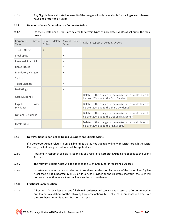12.7.3 Any Eligible Assets allocated as a result of the merger will only be available for trading once such Assets have been received by MERJ.

## **12.8 Deletion of open Orders due to a Corporate Action**

12.8.1 On the Ex-Date open Orders are deleted for certain types of Corporate Events, as set out in the table below.

| Corporate<br>Action Never<br>Type     | Orders   | delete Always<br>delete<br>Order | Rule in respect of deleting Orders                                                                      |
|---------------------------------------|----------|----------------------------------|---------------------------------------------------------------------------------------------------------|
| <b>Tender Offers</b>                  | $\times$ |                                  |                                                                                                         |
| Stock splits                          |          | $\times$                         |                                                                                                         |
| Reversed Stock Split                  |          | $\chi$                           |                                                                                                         |
| <b>Bonus Issues</b>                   |          | $\times$                         |                                                                                                         |
| <b>Mandatory Mergers</b>              |          | $\times$                         |                                                                                                         |
| Spin Offs                             |          | $\chi$                           |                                                                                                         |
| <b>Ticker Changes</b>                 |          | X                                |                                                                                                         |
| De-Listings                           |          | $\times$                         |                                                                                                         |
| Cash Dividends                        |          |                                  | Deleted if the change in the market price is calculated to<br>be over 20% due to the Cash Dividend      |
| Eligible<br>Asset<br><b>Dividends</b> |          |                                  | Deleted if the change in the market price is calculated to<br>be over 20% due to the Share Dividends    |
| <b>Optional Dividends</b>             |          |                                  | Deleted if the change in the market price is calculated to<br>be over 20% due to the Optional Dividends |
| <b>Rights Issue</b>                   |          |                                  | Deleted if the change in the market price is calculated to<br>be over 20% due to the Rights Issue       |

# **12.9 New Positions in non-online traded Securities and Eligible Assets**

If a Corporate Action relates to an Eligible Asset that is not tradable online with MERJ through the MERJ Platform, the following procedures shall be applicable -

- 12.9.1 Positions in respect of Eligible Asset arising as a result of a Corporate Action, are booked to the User's Account.
- 12.9.2 The relevant Eligible Asset will be added to the User's Account for reporting purposes.
- 12.9.3 In instances where there is an election to receive consideration by means of the issue of an Eligible Asset that is not supported by MERJ or its Service Provider on the Electronic Platform, the User will not have the option to elect and will receive the cash settlement.

## **12.10 Fractional Compensation**

12.10.1 A fractional Asset is less than one full share in an issuer and can arise as a result of a Corporate Action entitlement calculation. For the following Corporate Actions, MERJshall cash compensation wherever the User becomes entitled to a fractional Asset -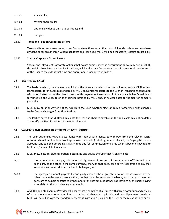- 12.10.2 share splits;
- 12.10.3 reverse share splits;
- 12.10.4 optional dividends on share positions; and
- 12.10.5 mergers.

#### **12.11 Taxes and Fees on Corporate actions**

Taxes and fees may also occur on other Corporate Actions, other than cash dividends such as fee on a share dividend or tax on a merger. When such taxes and fees occur MERJ will debit the User's Account accordingly.

#### **12.12 Special Corporate Action Events**

Special and infrequent Corporate Actions that do not come under the descriptions above may occur. MERJ, through its Associates and Service Providers, will handle such Corporate Actions in the overall best interest of the User to the extent that time and operational procedures will allow.

#### **13 FEES AND EXPENSES**

- 13.1 The basis on which, the manner in which and the intervals at which the User will remunerate MERJ and/or its Associates for the Services rendered by MERJ and/or its Associates to the User or Transactions concluded with or on instruction of the User in terms of this Agreement are set out in the applicable Fee Schedule as furnished via the Website or as otherwise notified by MERJ and/or its Associates to the User or its Users generally.
- 13.2 MERJ may, on prior written notice, furnish to the User, whether electronically or otherwise, with changes to the fees and charges from time to time.
- 13.3 The Parties agree that MERJ will calculate the fees and charges payable on the applicable calculation dates and notify the User in writing of the fees calculated.

## **14 PAYMENTS AND STANDARD SETTLEMENT INSTRUCTIONS**

- 14.1 The User authorises MERJ in accordance with their usual practice, to withdraw from the relevant MERJ Account where User Funds and/or Eligible Assets are held (including, where relevant, the Segregated Funds Account), and to debit accordingly, at any time any fee, commission or charge when it becomes payable to MERJ and/or any of its Associates.
- 14.2 MERJ may, in its absolute discretion, determine and advise the User that if, on any date-
- 14.2.1 the same amounts are payable under this Agreement in respect of the same type of Transaction by each party to the other in the same currency, then, on that date, each party's obligation to pay that amount is automatically satisfied and discharged; and
- 14.2.2 the aggregate amount payable by one party exceeds the aggregate amount that is payable by the other party in the same currency, then, on that date, the amounts payable by each party to the other party are to be paid or satisfied by payment of the net amount of those obligations by the party having a net debit to the party having a net credit.
- 14.3 A MERJ appointed Service Provider will ensure that it complies at all times with its memorandum and articles of associations or memorandum of incorporation, whichever is applicable, and that all payments made by MERJ will be in line with the standard settlement instruction issued by the User or the relevant third party.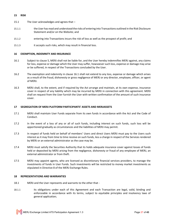#### **15 RISK**

- 15.1 The User acknowledges and agrees that –
- 15.1.1 the User has read and understood the risks of entering into Transactions outlined in the Risk Disclosure Statement and/or on the Website; and
- 15.1.2 entering into Transactions incurs the risk of loss as well as the prospect of profit; and
- 15.1.3 it accepts such risks, which may result in financial loss.

## **16 EXEMPTION, INDEMNITY AND INSURANCE**

- 16.1 Subject to clause 5, MERJ shall not be liable for, and the User hereby indemnifies MERJ against, any claims for loss, expense or damage which the User may suffer, howsoever such loss, expense or damage may arise or be suffered, in respect of the Transactions concluded by the User.
- 16.2 The exemption and indemnity in clause 16.1 shall not extend to any loss, expense or damage which arises as a result of the fraud, dishonesty or gross negligence of MERJ or any director, employee, officer, or agent of MERJ.
- 16.3 MERJ shall, to the extent, and if required by the Act arrange and maintain, at its own expense, insurance cover in respect of any liability which may be incurred by MERJ in connection with this agreement. MERJ shall on request from the User furnish the User with written confirmation of the amount of such insurance cover.

#### **17 SEGREGATION OF MERJ PLATFORM PARTICIPANTS' ASSETS AND MERJASSETS**

- 17.1 MERJ shall maintain User Funds separate from its own funds in accordance with the Act and the Code of Conduct.
- 17.2 In the event of a loss of any or all of such funds, including interest on such funds, such loss will be apportioned gradually as circumstances and the liabilities of MERJ may permit.
- 17.3 In respect of funds held on behalf of members' Users and direct Users MERJ must pay to the Users such interest as it may from time to time receive on such funds, less a charge in respect of the Services rendered by MERJ or an external administrator as the case may be.
- 17.4 MERJ must satisfy the Securities Authority that its holds adequate insurance cover against losses of funds held or deposited by MERJ arising from the negligence, dishonesty or fraud of any employee of MERJ, an external administrator or from theft.
- 17.5 MERJ may appoint agents, who are licensed as discretionary financial services providers, to manage the investments of funds in User Funds. Such investments will be restricted to money market investments as stipulated in Directive 8 of the MERJ Exchange Rules.

# **18 REPRESENTATIONS AND WARRANTIES**

- 18.1 MERJ and the User represents and warrants to the other that -
- 18.1.1 its obligations under each of this Agreement and each Transaction are legal, valid, binding and enforceable in accordance with its terms, subject to equitable principles and insolvency laws of general application;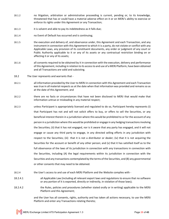- 18.1.2 no litigation, arbitration or administrative proceeding is current, pending or, to its knowledge, threatened that has or could have a material adverse effect on it or on MERJ's ability to exercise or enforce its rights under this Agreement or any Transaction;
- 18.1.3 it is solvent and able to pay its indebtedness as it falls due;
- 18.1.4 no Event of Default has occurred and is continuing;
- 18.1.5 the execution and delivery of, and observance under, this Agreement and each Transaction, and any instrument in connection with this Agreement to which it is a party, do not violate or conflict with any Applicable Laws, any provision of its constituent documents, any order or judgment of any court or Public Authority applicable to it or any of its assets or any contractual restriction binding on or affecting it or any of its assets;
- 18.1.6 all consents required to be obtained by it in connection with the execution, delivery and performance of this Agreement, including in relation to its access to and use of a MERJ Platform, have been obtained and all Transactions are valid and subsisting.
- 18.2 The User represents and warrants that -
- 18.2.1 all information provided by the User to MERJ in connection with this Agreement and each Transaction was true in all material respects as at the date when that information was provided and remains so as at the date of this Agreement; and
- 18.2.2 there are no facts or circumstances that have not been disclosed to MERJ that would make that information untrue or misleading in any material respect;
- 18.2.3 unless Participant is appropriately licensed and regulated to do so, Participant hereby represents (i) that Participant has not and will not solicit offers to buy, or offers to sell the Securities, or any beneficial interest therein in a jurisdiction where this would be prohibited to or for the account of any person in a jurisdiction where this would be prohibited or engage in any hedging transactions involving the Securities; (ii) that it has not engaged, nor is it aware that any party has engaged, and it will not engage or cause any third party to engage, in any directed selling efforts in any jurisdiction with respect to the Securities; (iii) that it is not a distributor or dealer; (iv) that it is not acquiring the Securities for the account or benefit of any other person; and (v) that it has satisfied itself as to the full observance of the laws of its jurisdiction in connection with any transactions in connection with the Securities, including (A) the legal requirements within its jurisdiction in connection with the Securities and any transactions contemplated by the terms of the Securities, and (B) any governmental or other consents that may need to be obtained.
- 18.2.4 the User's access to and use of each MERJ Platform and the Website complies with -
- 18.2.4.1 all Applicable Law (including all relevant export laws and regulations to ensure that no software or any portion of it is exported, directly or indirectly, in violation of those laws);
- 18.2.4.2 the Rules, policies and procedures (whether stated orally or in writing) applicable to the MERJ Platform and this Agreement;

and the User has all consents, rights, authority and has taken all actions necessary, to use the MERJ Platform and enter any Transactions relating thereto;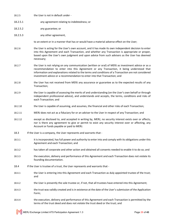- 18.2.5 the User is not in default under -
- 18.2.5.1 any agreement relating to indebtedness; or
- 18.2.5.2 any guarantee; or
- 18.2.5.3 any other agreement,

to an extent or in a manner that has or would have a material adverse effect on the User;

- 18.2.6 the User is acting for the User's own account, and it has made its own independent decision to enter into this Agreement and each Transaction, and whether any Transaction is appropriate or proper, based upon the User's own judgment and upon advice from such advisers as the User has deemed necessary;
- 18.2.7 the User is not relying on any communication (written or oral) of MERJ as investment advice or as a recommendation to enter into this Agreement or any Transaction, it being understood that information and explanations related to the terms and conditions of a Transaction are not considered investment advice or a recommendation to enter into that Transaction; and
- 18.2.8 the User has not received from MERJ any assurance or guarantee as to the expected results of any Transaction;
- 18.2.9 the User is capable of assessing the merits of and understanding (on the User's own behalf or through independent professional advice), and understands and accepts, the terms, conditions and risks of each Transaction; and
- 18.2.10 the User is capable of assuming, and assumes, the financial and other risks of each Transaction;
- 18.2.11 MERJ does not act as a fiduciary for or an adviser to the User in respect of any Transaction; and
- 18.2.12 except as disclosed to, and accepted in writing by, MERJ, no security interest exists over or affects, nor is there any agreement to give or permit to exist any security interest over or affecting, any Account or funds payable or paid to MERJ.
- 18.3 If the User is a company, the User represents and warrants that -
- 18.3.1 it is incorporated, has full power and authority to enter into and comply with its obligations under this Agreement and each Transaction; and
- 18.3.2 has taken all corporate and other action and obtained all consents needed to enable it to do so; and
- 18.3.3 the execution, delivery and performance of this Agreement and each Transaction does not violate its founding documentation.
- 18.4 If the User is trustee of a trust, the User represents and warrants that -
- 18.4.1 the User is entering into this Agreement and each Transaction as duly appointed trustee of the trust; and
- 18.4.2 the User is presently the sole trustee or, if not, that all trustees have entered into this Agreement;
- 18.4.3 the trust was validly created and is in existence at the date of the User's submission of the Application Form;
- 18.4.4 the execution, delivery and performance of this Agreement and each Transaction is permitted by the terms of the trust deed and does not violate the trust deed or the trust; and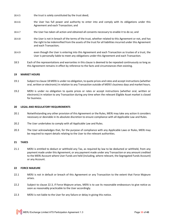- 18.4.5 the trust is solely constituted by the trust deed;
- 18.4.6 the User has full power and authority to enter into and comply with its obligations under this Agreement and each Transaction; and
- 18.4.7 the User has taken all action and obtained all consents necessary to enable it to do so; and
- 18.4.8 the User is not in breach of the terms of the trust, whether related to this Agreement or not, and has the right to be indemnified from the assets of the trust for all liabilities incurred under this Agreement and each Transaction;
- 18.4.9 even though the User is entering into this Agreement and each Transaction as trustee of a trust, the User is personally liable to meet any obligations under this Agreement and each Transaction.
- 18.5 Each of the representations and warranties in this clause is deemed to be repeated continuously so long as this Agreement remains in effect by reference to the facts and circumstances then existing.

## **19 MARKET HOURS**

- 19.1 Subject to clause 18 MERJ is under no obligation, to quote prices and rates and accept instructions (whether oral, written or electronic) in relation to any Transaction outside of MERJ's business days and market hours.
- 19.2 MERJ is under no obligation to quote prices or rates or accept instructions (whether oral, written or electronic) in relation to any Transaction during any time when the relevant Eligible Asset market is closed for business.

## **20 LEGAL AND REGULATORY REQUIREMENTS**

- 20.1 Notwithstanding any other provision of this Agreement or the Rules, MERJ may take any action it considers necessary or desirable in its absolute discretion to ensure compliance with all Applicable Law and Rules.
- 20.2 The User undertakes to comply with all Applicable Law and Rules.
- 20.3 The User acknowledges that, for the purpose of compliance with any Applicable Laws or Rules, MERJ may be required to report details relating to the User to the relevant authorities.

## **21 TAXES**

21.1 MERJ is entitled to deduct or withhold any Tax, as required by law to be deducted or withheld, from any payment made under this Agreement, or any payment made under any Transaction or any amount credited to the MERJ Account where User Funds are held (including, where relevant, the Segregated Funds Account) or any Account.

## **22 FORCE MAJEURE**

- 22.1 MERJ is not in default or breach of this Agreement or any Transaction to the extent that Force Majeure arises.
- 22.2 Subject to clause 22.3, if Force Majeure arises, MERJ is to use its reasonable endeavours to give notice as soon as reasonably practicable to the User accordingly.
- 22.3 MERJ is not liable to the User for any failure or delay in giving this notice.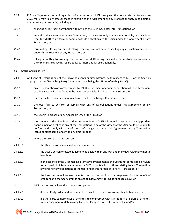- 22.4 If Force Majeure arises, and regardless of whether or not MERJ has given the notice referred to in clause 22.2, MERJ may take whatever steps in relation to this Agreement or any Transaction that, in its opinion, are necessary or desirable, including -
- 22.4.1 changing or restricting any hours within which the User may enter into Transactions; or
- 22.4.2 amending this Agreement or any Transaction, to the extent only that it is not possible, practicable or legal for MERJ to perform or comply with its obligations to the User under this Agreement or any Transaction; or
- 22.4.3 terminating, closing out or not rolling over any Transaction or cancelling any instructions or orders under this Agreement or any Transaction; or
- 22.4.4 taking or omitting to take any other action that MERJ, acting reasonably, deems to be appropriate in the circumstances having regard to its business and its Users generally.

# **23 EVENTS OF DEFAULT**

- 23.1 An Event of Default is any of the following events or circumstances with respect to MERJ or the User, as appropriate (the "**Defaulting Party**", the other party being the "**Non-defaulting Party**") -
- 23.1.1 any representation or warranty made by MERJ or the User under or in connection with this Agreement or a Transaction is later found to be incorrect or misleading in a material respect; or
- 23.1.2 the User fails to maintain margin at least equal to the Margin Requirement; or
- 23.1.3 the User fails to perform or comply with any of its obligations under this Agreement or any Transaction; or
- 23.1.4 the User is in breach of any Applicable Law or the Rules; or
- 23.1.5 the conduct of the User is such that, in the opinion of MERJ, it would cause a reasonably prudent financial person dealing in any of the Transactions to be of the view that the User could be unable to perform and comply with any of the User's obligations under this Agreement or any Transaction, including strict compliance with any time limit; or
- 23.1.6 where the User is a natural person -
- 23.1.6.1 the User dies or becomes of unsound mind; or
- 23.1.6.2 the User's person or estate is liable to be dealt with in any way under any law relating to mental health; or
- 23.1.6.3 in the absence of the User making alternative arrangements, the User is not contactable by MERJ for any period of 24 hours in order for MERJ to obtain instructions relating to any Transaction, any order or any obligations of the User under this Agreement or any Transaction; or
- 23.1.6.4 the User becomes insolvent or enters into a composition or arrangement for the benefit of creditors or if the User commits an act of insolvency in terms of Applicable Law; or
- 23.1.7 MERJ or the User, where the User is a company -
- 23.1.7.1 if either Party is deemed to be unable to pay its debts in terms of Applicable Law; and/or
- 23.1.7.2 if either Party compromises or attempts to compromise with its creditors, or defers or attempts to defer payment of debts owing by either Party to its creditors generally; and/or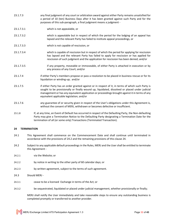- 23.1.7.3 any final judgment of any court or arbitration award against either Party remains unsatisfied for a period of 10 (ten) Business Days after it has been granted against such Party and for the purposes of this sub-paragraph, a final judgment means a judgment -
- 23.1.7.3.1 which is not appealable, or
- 23.1.7.3.2 which is appealable but in respect of which the period for the lodging of an appeal has lapsed and the relevant Party has failed to institute appeal proceedings, or
- 23.1.7.3.3 which is not capable of rescission, or
- 23.1.7.3.4 which is capable of rescission but in respect of which the period for applying for rescission has lapsed and the relevant Party has failed to apply for rescission or has applied for rescission of such judgment and the application for rescission has been denied; and/or
- 23.1.7.3.5 if any property, moveable or immoveable, of either Party is attached in execution or by any process of any Court; and/or
- 23.1.7.4 if either Party's members propose or pass a resolution to be placed in business rescue or for its liquidation or winding-up; and/or
- 23.1.7.5 if either Party has an order granted against or in respect of it, in terms of which such Party is sought to be provisionally or finally wound up, liquidated, dissolved or placed under judicial management or has any equivalent application or proceedings brought against it in terms of any equivalent applicable legislation; and/or
- 23.1.7.6 any guarantee of or security given in respect of the User's obligations under this Agreement is, without the consent of MERJ, withdrawn or becomes defective or insufficient.
- 23.1.8 If, at any time, an Event of Default has occurred in respect of the Defaulting Party, the Non-defaulting Party may give a Termination Notice to the Defaulting Party designating a Termination Date for the termination of all (or some only) Transactions (Terminated Transaction).

## **24 TERMINATION**

- 24.1 This Agreement shall commence on the Commencement Date and shall continue until terminated in accordance with the provisions of 24.2 and the remaining provisions of this clause 24.
- 24.2 Subject to any applicable default proceedings in the Rules, MERJ and the User shall be entitled to terminate this Agreement -
- 24.2.1 via the Website; or
- 24.2.2 by notice in writing to the other party of 60 calendar days; or
- 24.2.3 by written agreement, subject to the terms of such agreement.
- 24.3 Should MERJ -
- 24.3.1 cease to be a licensed Exchange in terms of the Act; or
- 24.3.2 be sequestrated, liquidated or placed under judicial management, whether provisionally or finally;

MERJ shall notify the User immediately and take reasonable steps to ensure any outstanding business is completed promptly or transferred to another provider.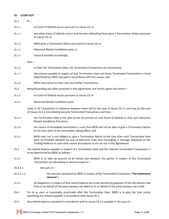# **25 CLOSE-OUT**

 $25.1$  If  $-$ 25.1.1 an Event of Default occurs pursuant to clause 23; or 25.1.2 any other Event of Default occurs and the Non-defaulting Party gives a Termination Notice pursuant to clause 23; or 25.1.3 MERJ gives a Termination Notice pursuant to clause 24; or 25.1.4 Abnormal Market Conditions exist; or 25.1.5 clause 8 provides accordingly,

then –

- 25.1.6 as from the Termination Date, the Terminated Transactions are terminated;
- 25.1.7 the amount payable in respect of that Termination Date and those Terminated Transactions is to be determined by MERJ and paid in accordance with this clause; and
- 25.1.8 MERJ may refuse to enter into any further Transactions.
- 25.2 Notwithstanding any other provision in this Agreement, the Parties agree that where –
- 25.2.1 an Event of Default occurs pursuant to clause 23; or
- 25.2.2 Abnormal Market Conditions exist,

some or all Transactions in existence between them will (in the case of clause 25.2.1 and may (in the case of clause 25.2.2 immediately become Terminated Transactions and that –

- 25.2.3 the Termination Date is the date of the occurrence of such Event of Default or that such Abnormal Market Conditions first occur;
- 25.2.4 the nature of immediate termination is such that MERJ will not be able to give a Termination Notice to the User prior to the termination taking effect; and
- 25.2.5 MERJ may, but is not obliged to, give a Termination Notice to the User after such Transactions have been terminated, whether by way of electronic mail, text messaging, a message displayed on the Trading Platform or such other notice procedures as are set out in this Agreement.
- 25.3 The netted balance payable in respect of a Termination Date and the relevant Terminated Transactions is to be determined by MERJ as follows –
- 25.3.1 MERJ is to take an account of all money due between the parties in respect of the Terminated Transactions by calculating an amount equal to  $-$
- 25.3.1.1 the sum of –
- 25.3.1.1.1 the amount calculated by MERJ in respect of the Terminated Transaction ("**the Settlement Amount**").
- 25.3.2 all obligations in respect of that netted balance are to be satisfied by payment of the net amount due from or on behalf of the party having a net debit to or on behalf of the party having a net credit.
- 25.4 On or as soon as reasonably practicable after the Termination Date, MERJ is to give the User notice specifying any amount payable in accordance with clause 25.3.
- 25.5 Any netted balance calculated in accordance with to clause 25.3 is payable in the case of –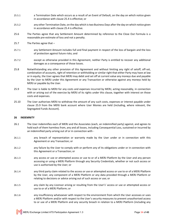- 25.5.1 a Termination Date which occurs as a result of an Event of Default, on the day on which notice given in accordance with clause 25.4 is effective; or
- 25.5.2 any other Termination Date, on the day which is two Business Days after the day on which notice given in accordance with clause 25.4 is effective.
- 25.6 The Parties agree that any Settlement Amount determined by reference to the Close Out Formula is a reasonable pre-estimate of loss and not a penalty.
- 25.7 The Parties agree that –
- 25.7.1 any Settlement Amount includes full and final payment in respect of the loss of bargain and the loss of protection against future risks; and
- 25.7.2 except as otherwise provided in this Agreement, neither Party is entitled to recover any additional damages as a consequence of those losses.
- 25.8 Notwithstanding any other provision of this Agreement and without limiting any right of setoff, off-set, combination of accounts, right of retention or withholding or similar right that either Party may have at law or in equity, the User agrees that MERJ may debit and set off at current value any moneys due and payable by the User to MERJ under this Agreement or any Transaction or otherwise against any moneys held by MERJ or payable by the User.
- 25.9 The User is liable to MERJ for any costs and expenses incurred by MERJ, acting reasonably, in connection with or arising out of the exercise by MERJ of its rights under this clause, together with interest on those costs and expenses.
- 25.10 The User authorises MERJ to withdraw the amount of any such costs, expenses or interest payable under clause 25.9 from the MERJ bank account where User Monies are held (including, where relevant, the Segregated Funds Account).

## **26 INDEMNITY**

- 26.1 The User indemnifies each of MERJ and the Associates (each, an indemnified party) against, and agrees to hold each of them harmless from, any and all losses, including Consequential Loss, sustained or incurred by an indemnified party arising out of or in connection with -
- 26.1.1 any breach of representation or warranty made by the User under or in connection with this Agreement or any Transaction; or
- 26.1.2 any failure by the User to comply with or perform any of its obligations under or in connection with this Agreement or a Transaction; or
- 26.1.3 any access or use or attempted access or use to or of a MERJ Platform by the User and any person accessing or using a MERJ Platform through any Security Credentials, whether or not such access or use is authorised by the User; or
- 26.1.4 any third party claim related to the access or use or attempted access or use to or of a MERJ Platform by the User, any component of a MERJ Platform or any data provided through a MERJ Platform or relating to decisions or advice arising out of such access or use; or
- 26.1.5 any claim by any Licensor arising or resulting from the User's' access or use or attempted access or use to or of a MERJ Platform; or
- 26.1.6 any insufficiency whatsoever with respect to the environment from which the User accesses or uses a MERJ Platform and/or with respect to the User's security measures to prevent unauthorised access to or use of a MERJ Platform and any security breach in relation to a MERJ Platform (including any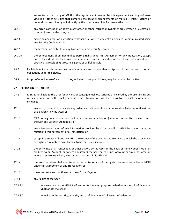access to or use of any of MERJ's other systems not covered by this Agreement and any software viruses or other activities that comprise the security arrangements of MERJ's IT infrastructure or network) caused directly or indirectly by the User or any of its Representatives; or

- 26.1.7 any error, corruption or delay in any order or other instruction (whether oral, written or electronic) communicated by the User; or
- 26.1.8 acting on any order or instruction (whether oral, written or electronic) which is communicated using any Security Credentials; or
- 26.1.9 the termination by MERJ of any Transaction under this Agreement; or
- 26.1.10 the enforcement of an indemnified party's rights under this Agreement or any Transaction, except and to the extent that the loss or Consequential Loss is sustained or incurred by an indemnified party directly as a result of its gross negligence or willful default.
- 26.2 Each indemnity in this clause constitutes a separate and independent obligation of the User from its other obligations under this clause.
- 26.3 No proof or evidence of any actual loss, including consequential loss, may be required by the User.

#### **27 EXCLUSION OF LIABILITY**

- 27.1 MERJ is not liable to the User for any loss or consequential loss suffered or incurred by the User arising out of or in connection with this Agreement or any Transaction, whether in contract, delict, or otherwise, including -
- 27.1.1 any error, corruption or delay in any order, instruction or other communication (whether oral, written or electronic) by the User; or
- 27.1.2 MERJ acting on any order, instruction or other communication (whether oral, written or electronic) through any Security Credentials; or
- 27.1.3 any misrepresentation of any information provided by or on behalf of MERJ Exchange Limited in relation to this Agreement or a Transaction; or
- 27.1.4 except in the case of fraud by MERJ, the reliance of the User on a rate or a price which the User knew, or ought reasonably to have known, to be materially incorrect; or
- 27.1.5 the entry into of a Transaction, or other action, by the User on the basis of money deposited in or credited to an Account, or (where applicable) the Segregated Funds Account or any other account where User Money is held, in error by, or on behalf of, MERJ; or
- 27.1.6 the exercise, attempted exercise or non-exercise of any of the rights, powers or remedies of MERJ under this Agreement or any Transaction; or
- 27.1.7 the occurrence and continuance of any Force Majeure; or
- 27.1.8 any failure of the User -
- 27.1.8.1 to access or use the MERJ Platform for its intended purposes, whether as a result of failure by MERJ or otherwise; or
- 27.1.8.2 to maintain the security, integrity and confidentiality of all Security Credentials; or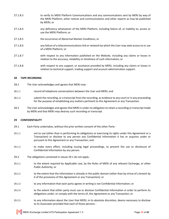- 27.1.8.3 to verify its MERJ Platform Communications and any communications sent by MERJ by way of the MERJ Platform, other notices and communications and other reports as may be published by MERJ; or
- 27.1.8.4 any deficiency whatsoever of the MERJ Platform, including failure of, or inability to, access or use the MERJ Platform; or
- 27.1.8.5 the occurrence of Abnormal Market Conditions; or
- 27.1.8.6 any failure of a telecommunications link or network by which the User may seek access to or use of a MERJ Platform; or
- 27.1.8.7 with respect to any information published on the Website, including any claims or losses in relation to the accuracy, reliability or timeliness of such information; or
- 27.1.8.8 with respect to any support, or assistance provided by MERJ, including any claims or losses in relation to technical support, trading support and account administration support.

# **28 TAPE RECORDING**

- 28.1 The User acknowledges and agrees that MERJ may -
- 28.1.1 **record all telephone conversations between the User and MERJ; and**
- 28.1.2 submit the recording, or a transcript from the recording, as evidence to any court or in any proceeding for the purpose of establishing any matters pertinent to this Agreement or any Transaction.
- 28.2 The User acknowledges and agrees that MERJ is under no obligation to retain a recording or transcript made by MERJ and that MERJ may destroy such recording or transcript.

#### **29 CONFIDENTIALITY**

- 29.1 Each Party undertakes, without the prior written consent of the other Party -
- 29.1.1 not to use (other than in performing its obligations or exercising its rights under this Agreement or a Transaction) or disclose to any person any Confidential Information it has or acquires under or pursuant to this Agreement or any Transaction; and
- 29.1.2 to make every effort, including issuing legal proceedings, to prevent the use or disclosure of Confidential Information by any person.
- 29.2 The obligations contained in clause 29.1 do not apply -
- 29.2.1 to the extent required by Applicable Law, by the Rules of MERJ of any relevant Exchange, or other Public Authority; or
- 29.2.2 to the extent that the information is already in the public domain (other than by virtue of a breach by it of the provisions of this Agreement or any Transaction); or
- 29.2.3 to any information that each party agrees in writing is not Confidential Information; or
- 29.2.4 to the extent that either party must use or disclose Confidential Information in order to perform its obligations under, or comply with the terms of, this Agreement or any Transaction; or
- 29.2.5 to any information about the User that MERJ, in its absolute discretion, deems necessary to disclose to its Associates provided that each of those persons -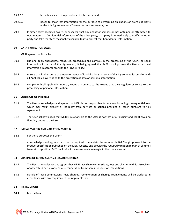- 29.2.5.1 is made aware of the provisions of this clause; and
- 29.2.5.2 needs to know that information for the purpose of performing obligations or exercising rights under this Agreement or a Transaction as the case may be.
- 29.3 If either party becomes aware, or suspects, that any unauthorised person has obtained or attempted to obtain access to Confidential Information of the other party, that party is immediately to notify the other party and take the steps reasonably available to it to protect that Confidential Information.

### **30 DATA PROTECTION LAWS**

MERJ agrees that it shall –

- 30.1 use and apply appropriate measures, procedures and controls in the processing of the User's personal information in terms of this Agreement, it being agreed that MERJ shall process the User's personal information in accordance with the Privacy Policy;
- 30.2 ensure that in the course of the performance of its obligations in terms of this Agreement, it complies with all Applicable Law relating to the protection of data or personal information
- 30.3 comply with all applicable industry codes of conduct to the extent that they regulate or relate to the processing of personal information.

#### **31 CONFLICTS OF INTEREST**

- 31.1 The User acknowledges and agrees that MERJ is not responsible for any loss, including consequential loss, which may result directly or indirectly from services or actions provided or taken pursuant to this Agreement.
- 31.2 The User acknowledges that MERJ's relationship to the User is not that of a fiduciary and MERJ owes no fiduciary duties to the User.

### **32 INITIAL MARGIN AND VARIATION MARGIN**

32.1 For these purposes the User –

acknowledges and agrees that User is required to maintain the required Initial Margin purulent to the product specification published on the MERJ website and provide the required variation margin at all times to retain its position. MERJ will reflect the movements in margin in the Users account.

#### **33 SHARING OF COMMISSIONS, FEES AND CHARGES**

- 33.1 The User acknowledges and agrees that MERJ may share commissions, fees and charges with its Associates or other third parties or receive remuneration from them in respect of Transactions.
- 33.2 Details of these commissions, fees, charges, remuneration or sharing arrangements will be disclosed in accordance with any requirements of Applicable Law.

#### **34 INSTRUCTIONS**

#### **34.1 Instructions**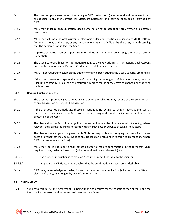- 34.1.1 The User may place an order or otherwise give MERJ instructions (whether oral, written or electronic) as specified in any then-current Risk Disclosure Statement or otherwise published or provided by MERJ.
- 34.1.2 MERJ may, in its absolute discretion, decide whether or not to accept any oral, written or electronic instructions.
- 34.1.3 MERJ may act upon the oral, written or electronic order or instruction, including any MERJ Platform Communications, of the User, or any person who appears to MERJ to be the User, notwithstanding that the person is not, in fact, the User.
- 34.1.4 In particular, MERJ may act upon any MERJ Platform Communications using the User's Security Credentials.
- 34.1.5 The User is to keep all security information relating to a MERJ Platform, its Transactions, each Account and this Agreement, and all Security Credentials, confidential and secure.
- 34.1.6 MERJ is not required to establish the authority of any person quoting the User's Security Credentials.
- 34.1.7 If the User is aware or suspects that any of these things is no longer confidential or secure, then the User is to contact MERJ as soon as practicable in order that it or they may be changed or otherwise made secure.

#### **34.2 Required instructions, etc.**

- 34.2.1 The User must promptly give to MERJ any instructions which MERJ may require of the User in respect of any Transaction or proposed Transaction.
- 34.2.2 If the User does not promptly give those instructions, MERJ, acting reasonably, may take the steps at the User's cost and expense as MERJ considers necessary or desirable for its own protection or the protection of the User.
- 34.2.3 The User authorises MERJ to charge the User account where User Funds are held (including, where relevant, the Segregated Funds Account) with any such cost or expense of taking those steps.
- 34.2.4 The User acknowledges and agrees that MERJ is not responsible for notifying the User of any times, dates or events that may be relevant to any Transaction (including in relation to Transactions where MERJ may require instructions).
- 34.2.5 MERJ may (but is not in any circumstances obliged to) require confirmation (in the form that MERJ requires) of any order or instruction (whether oral, written or electronic) if -
- 34.2.5.1 the order or instruction is to close an Account or remit funds due to the User; or
- 34.2.5.2 it appears to MERJ, acting reasonably, that the confirmation is necessary or desirable.
- 34.2.6 MERJ may acknowledge an order, instruction or other communication (whether oral, written or electronic) orally, in writing or by way of a MERJ Platform.

#### **35 ASSIGNMENT**

35.1 Subject to this clause, this Agreement is binding upon and ensures for the benefit of each of MERJ and the User and its successors and permitted assignees or transferees.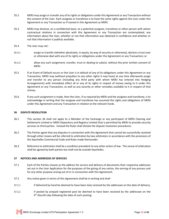- 35.2 MERJ may assign or transfer any of its rights or obligations under this Agreement or any Transaction without the consent of the User. Each assignee or transferee is to have the same rights against the User under this Agreement or any Transaction as if named in this Agreement as MERJ.
- 35.3 MERJ may disclose, on a confidential basis, to a potential assignee, transferee or other person with whom contractual relations in connection with this Agreement or any Transaction are contemplated, any information about the User, whether or not that information was obtained in confidence and whether or not that information is publicly available.
- 35.4 The User may not -
- 35.4.1 assign or transfer (whether absolutely, in equity, by way of security or otherwise), declare a trust over or otherwise deal with any of its rights or obligations under this Agreement or any Transaction; or
- 35.4.2 allow any such assignment, transfer, trust or dealing to subsist, without the prior written consent of MERJ.
- 35.5 If an Event of Default occurs or the User is in default of any of its obligations under this Agreement or any Transaction, MERJ may (without prejudice to any other rights it may have) at any time afterwards assign and transfer to any person (including any third party with whom MERJ has entered into Hedging Arrangements) with immediate effect all or any of its rights in respect of money owing to it under this Agreement or any Transaction, as well as any security or other remedies available to it in respect of that money.
- 35.6 If any such assignment is made, then the User, if so required by MERJ and the assignee and transferee, is to acknowledge in writing that the assignee and transferee has assumed the rights and obligations of MERJ under this Agreement and any Transaction in relation to the relevant funds.

### **36 DISPUTE RESOLUTION**

- 36.1 This section 36 shall not apply to a Member of the Exchange or any participant of MERJ Clearing and Settlement Limited or MERJ Depository and Registry Limited that is permitted by MERJ to provide security services to third parties. Instead the Rules shall dictate the dispute resolution procedures.
- 36.2 The Parties agree that any disputes in connection with this Agreement that cannot be successfully resolved through other means will be referred to arbitration by two arbitrators in accordance with the provisions of the Seychelles Commercial Code and Rules made thereunder.
- 36.3 Reference to arbitration shall be a condition precedent to any other action of law. The venue of arbitration shall be agreed by both parties but shall not be outside Seychelles.

### **37 NOTICES AND ADDRESSES OF SERVICES**

- 37.1 Each of the Parties choose as the address for service and delivery of documents their respective addresses set out in the User Application for the purposes of the giving of any notice, the serving of any process and for any other purpose arising out of or in connection with this Agreement.
- 37.2 Any notice given in terms of this Agreement shall be in writing and shall -
- 37.2.1 if delivered by hand be deemed to have been duly received by the addressee on the date of delivery;
- 37.2.2 if posted by prepaid registered post be deemed to have been received by the addressee on the 4<sup>th</sup> (fourth) day following the date of such posting;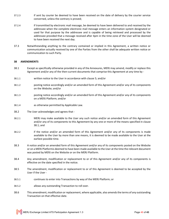- 37.2.3 if sent by courier be deemed to have been received on the date of delivery by the courier service concerned, unless the contrary is proved;
- 37.2.4 if transmitted by electronic mail message, be deemed to have been delivered to and received by the addressee when the complete electronic mail message enters an information system designated or used for that purpose by the addressee and is capable of being retrieved and processed by the addressee provided that a message received after 4pm in the time zone of the User will be deemed to have been received the next day.
- 37.3 Notwithstanding anything to the contrary contained or implied in this Agreement, a written notice or communication actually received by one of the Parties from the other shall be adequate written notice or communication to such Party.

### **38 AMENDMENTS**

- 38.1 Except as specifically otherwise provided in any of the Annexures, MERJ may amend, modify or replace this Agreement and/or any of the then-current documents that comprise this Agreement at any time by -
- 38.1.1 written notice to the User in accordance with clause 5; and/or
- 38.1.2 posting notice accordingly and/or an amended form of this Agreement and/or any of its components on the Website; and/or
- 38.1.3 posting notice accordingly and/or an amended form of this Agreement and/or any of its components on a MERJ Platform; and/or
- 38.1.4 as otherwise permitted by Applicable Law.
- 38.2 The User acknowledges and agrees that -
- 38.2.1 MERJ may make available to the User any such notice and/or an amended form of this Agreement and/or any of its components to this Agreement by any one or more of the means specified in clause 38.1; and
- 38.2.2 if the notice and/or an amended form of this Agreement and/or any of its components is made available to the User by more than one means, it is deemed to be made available to the User at the earliest possible time.
- 38.3 A notice and/or an amended form of this Agreement and/or any of its components posted on the Website or on a MERJ Platformis deemed to have been made available to the User at the time the relevant document was posted by MERJ on the Website or on the MERJ Platform.
- 38.4 Any amendment, modification or replacement to or of this Agreement and/or any of its components is effective on the date specified in the notice.
- 38.5 The amendment, modification or replacement to or of this Agreement is deemed to be accepted by the User if the User -
- 38.5.1 continues to enter into Transactions by way of the MERJ Platform; or
- 38.5.2 allows any outstanding Transaction to roll over.
- 38.6 This amendment, modification or replacement, where applicable, also amends the terms of any outstanding Transaction on that effective date.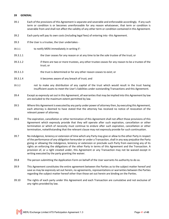### **39 GENERAL**

- 39.1 Each of the provisions of this Agreement is separate and severable and enforceable accordingly. If any such term or condition is or becomes unenforceable for any reason whatsoever, that term or condition is severable from and shall not affect the validity of any other term or condition contained in this Agreement.
- 39.2 Each party will pay its own costs (including legal fees) of entering into -this Agreement.
- 39.3 If the User is a trustee, the User undertakes -
- 39.3.1 to notify MERJ immediately in writing if -
- 39.3.1.1 the User ceases for any reason or at any time to be the sole trustee of the trust; or
- 39.3.1.2 if there are two or more trustees, any other trustee ceases for any reason to be a trustee of the trust; or
- 39.3.1.3 the trust is determined or for any other reason ceases to exist; or
- 39.3.1.4 it becomes aware of any breach of trust; and
- 39.3.2 not to make any distribution of any capital of the trust which would result in the trust having insufficient assets to meet the User's liabilities under outstanding Transactions and this Agreement.
- 39.4 Except as expressly set out in this Agreement, all warranties that may be implied into this Agreement by law are excluded to the maximum extent permitted by law.
- 39.5 Where this Agreement is executed by any party under power of attorney then, by executing this Agreement, each attorney is deemed to have stated that the attorney has received no notice of revocation of the relevant power of attorney.
- 39.6 The expiration, cancellation or other termination of this Agreement shall not affect those provisions of this Agreement which expressly provide that they will operate after such expiration, cancellation or other termination or which of necessity must continue to endure after such expiration, cancellation or other termination, notwithstanding that the relevant clause may not expressly provide for such continuation.
- 39.7 No indulgence, leniency or extension of time which any Party may give or allow to the other Party in respect of the performance of any obligation hereunder or under a Transaction, shall in any way prejudice the Party giving or allowing the indulgence, leniency or extension or preclude such Party from exercising any of its rights an enforcing the obligations of the other Party in terms of this Agreement and the Transaction. A provision of, or a right created under, this Agreement or any Transaction may not be waived except in writing executed by the party granting the waiver.
- 39.8 The person submitting the Application Form on behalf of the User warrants his authority to do so.
- 39.9 This Agreement constitutes the entire agreement between the Parties as to the subject matter hereof and save as may be expressly set out herein, no agreements, representations or warranties between the Parties regarding the subject matter hereof other than those set out herein are binding on the Parties.
- 39.10 The rights of each party under this Agreement and each Transaction are cumulative and not exclusive of any rights provided by law.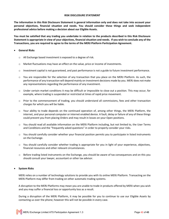#### **RISK DISCLOSURE STATEMENT**

**The information in this Risk Disclosure Statement is general information only and does not take into account your personal objectives, financial situation and needs. You should consider these things and seek independent professional advice before making a decision about our Eligible Assets.**

**You must be satisfied that any trading you undertake in relation to the products described in this Risk Disclosure Statement is appropriate in view of your objectives, financial situation and needs. If you wish to conclude any of the Transactions, you are required to agree to the terms of the MERJ Platform Participation Agreement.**

### • **General Risks**

- o All Exchange based investment is exposed to a degree of risk.
- o Market fluctuations may have an effect on the value, price or income of investments.
- $\circ$  Investment capital is not guaranteed, and past performance is not a guide to future investment performance.
- $\circ$  You are responsible for the selection of any transaction that you place on the MERJ Platform. As such, the performance of any transaction will depend mainly on investment decisions made by you. MERJ does not make any representations regarding the performance of any investment.
- o Under certain market conditions it may be difficult or impossible to close out a position. This may occur, for example, where trading is suspended or restricted at times of rapid price movement.
- o Prior to the commencement of trading, you should understand all commissions, fees and other transaction charges for which you will be liable.
- $\circ$  Your ability to trade depends on the continued operation of, among other things, the MERJ Platform, the internet, and your personal computer or internet enabled device. A fault, delay or failure of any of these things could prevent you from placing Orders and may result in losses on your Open positions.
- o You should read all available information on the MERJ Platform including, but not limited to, the User Terms and Conditions and the "frequently asked questions" in order to properly consider your risks.
- $\circ$  You should carefully consider whether your financial position permits you to participate in listed instruments on the Exchange.
- o You should carefully consider whether trading is appropriate for you in light of your experience, objectives, financial resources and other relevant circumstances.
- o Before trading listed instruments on the Exchange, you should be aware of tax consequences and on this you should consult your lawyer, accountant or other tax advisor.

# • **System Risks**

MERJ relies on a number of technology solutions to provide you with its online MERJ Platform. Transacting on the MERJ Platform may differ from trading on other automatic trading systems.

A disruption to the MERJ Platforms may mean you are unable to trade in products offered by MERJ when you wish and you may suffer a financial loss or opportunity loss as a result.

During a disruption of the MERJ Platform, it may be possible for you to continue to use our Eligible Assets by contacting us over the phone; however this will not be possible in every case.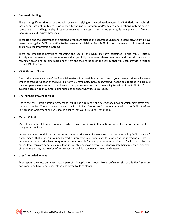### • **Automatic Trading**

There are significant risks associated with using and relying on a web-based, electronic MERJ Platform. Such risks include, but are not limited to, risks related to the use of software and/or telecommunications systems such as software errors and bugs, delays in telecommunications systems, interrupted service, data supply errors, faults or inaccuracies and security breaches.

These risks and the occurrence of disruptive events are outside the control of MERJ and, accordingly, you will have no recourse against MERJ in relation to the use of or availability of our MERJ Platform or any errors in the software and/or related information systems.

There are important provisions regarding the use of the MERJ Platform contained in the MERJ Platform Participation Agreement. You must ensure that you fully understand these provisions and the risks involved in relying on an on-line, automatic trading system and the limitations in the service that MERJ can provide in relation to the MERJ Platform.

# • **MERJ Platform Closed**

Due to the dynamic nature of the financial markets, it is possible that the value of your open positions will change while the trading function of the MERJ Platform is unavailable. In this case, you will not be able to trade in a product such as open a new transaction or close out an open transaction until the trading function of the MERJ Platform is available again. You may suffer a financial loss or opportunity loss as a result.

### • **Discretionary Powers of MERJ**

Under the MERJ Participation Agreement, MERJ has a number of discretionary powers which may affect your trading activities. These powers are set out in this Risk Disclosure Statement as well as the MERJ Platform Participation Agreement and you should ensure that you fully understand them.

### • **Market Volatility**

Markets are subject to many influences which may result in rapid fluctuations and reflect unforeseen events or changes in conditions

In certain market conditions such as during times of price volatility in markets, quotes provided by MERJ may 'gap'. A gap means that a price may unexpectedly jump from one price level to another without trading at rates in between those two price levels or quotes. It is not possible for us to predict when a price 'gap' will occur or by how much. Price gaps are generally a result of unexpected news or previously unknown data being released (e.g. news of terrorist attacks, revaluation of a currency, geopolitical upheaval or natural disasters).

### • **User Acknowledgement**

By accepting the electronic check box as part of this application process I/We confirm receipt of this Risk Disclosure document and have read, understood and agree to its contents.